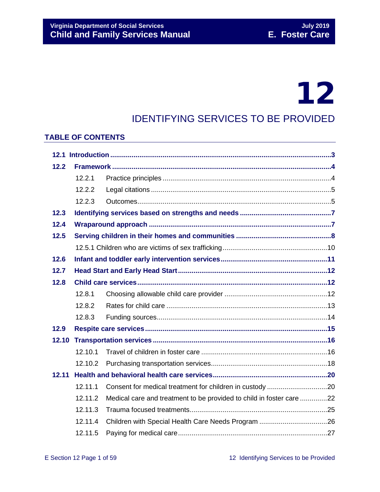# 12

# IDENTIFYING SERVICES TO BE PROVIDED

### **TABLE OF CONTENTS**

| 12.2  |         |                                                                      |  |  |  |
|-------|---------|----------------------------------------------------------------------|--|--|--|
|       | 12.2.1  |                                                                      |  |  |  |
|       | 12.2.2  |                                                                      |  |  |  |
|       | 12.2.3  |                                                                      |  |  |  |
| 12.3  |         |                                                                      |  |  |  |
| 12.4  |         |                                                                      |  |  |  |
| 12.5  |         |                                                                      |  |  |  |
|       |         |                                                                      |  |  |  |
| 12.6  |         |                                                                      |  |  |  |
| 12.7  |         |                                                                      |  |  |  |
| 12.8  |         |                                                                      |  |  |  |
|       | 12.8.1  |                                                                      |  |  |  |
|       | 12.8.2  |                                                                      |  |  |  |
|       | 12.8.3  |                                                                      |  |  |  |
| 12.9  |         |                                                                      |  |  |  |
| 12.10 |         |                                                                      |  |  |  |
|       | 12.10.1 |                                                                      |  |  |  |
|       | 12.10.2 |                                                                      |  |  |  |
| 12.11 |         |                                                                      |  |  |  |
|       | 12.11.1 | Consent for medical treatment for children in custody 20             |  |  |  |
|       | 12.11.2 | Medical care and treatment to be provided to child in foster care 22 |  |  |  |
|       | 12.11.3 |                                                                      |  |  |  |
|       | 12.11.4 |                                                                      |  |  |  |
|       | 12.11.5 |                                                                      |  |  |  |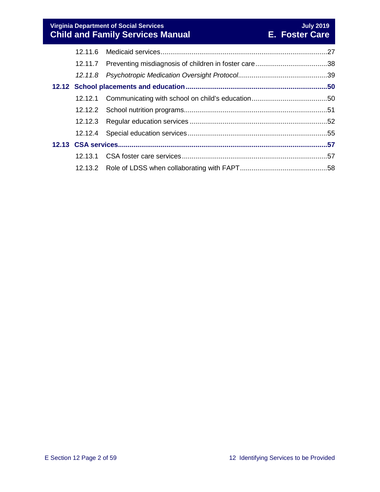**Virginia Department of Social Services July 2019 Child and Family Services Manual E. Foster Care**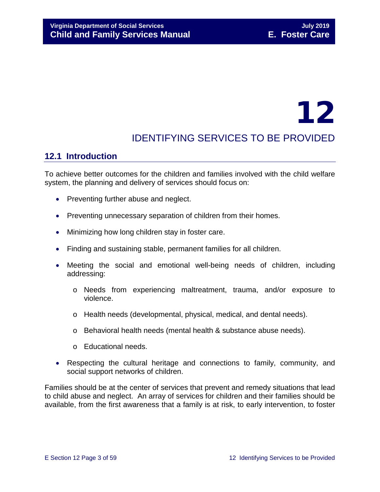# 12

# IDENTIFYING SERVICES TO BE PROVIDED

# <span id="page-2-0"></span>**12.1 Introduction**

To achieve better outcomes for the children and families involved with the child welfare system, the planning and delivery of services should focus on:

- Preventing further abuse and neglect.
- Preventing unnecessary separation of children from their homes.
- Minimizing how long children stay in foster care.
- Finding and sustaining stable, permanent families for all children.
- Meeting the social and emotional well-being needs of children, including addressing:
	- o Needs from experiencing maltreatment, trauma, and/or exposure to violence.
	- o Health needs (developmental, physical, medical, and dental needs).
	- o Behavioral health needs (mental health & substance abuse needs).
	- o Educational needs.
- Respecting the cultural heritage and connections to family, community, and social support networks of children.

Families should be at the center of services that prevent and remedy situations that lead to child abuse and neglect. An array of services for children and their families should be available, from the first awareness that a family is at risk, to early intervention, to foster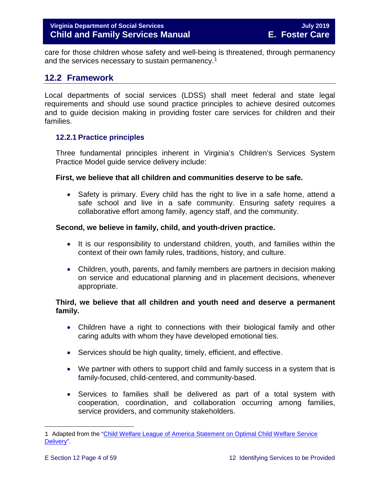care for those children whose safety and well-being is threatened, through permanency and the services necessary to sustain permanency.<sup>[1](#page-3-2)</sup>

# <span id="page-3-0"></span>**12.2 Framework**

Local departments of social services (LDSS) shall meet federal and state legal requirements and should use sound practice principles to achieve desired outcomes and to guide decision making in providing foster care services for children and their families.

#### <span id="page-3-1"></span>**12.2.1 Practice principles**

Three fundamental principles inherent in Virginia's Children's Services System Practice Model guide service delivery include:

#### **First, we believe that all children and communities deserve to be safe.**

• Safety is primary. Every child has the right to live in a safe home, attend a safe school and live in a safe community. Ensuring safety requires a collaborative effort among family, agency staff, and the community.

#### **Second, we believe in family, child, and youth-driven practice.**

- It is our responsibility to understand children, youth, and families within the context of their own family rules, traditions, history, and culture.
- Children, youth, parents, and family members are partners in decision making on service and educational planning and in placement decisions, whenever appropriate.

#### **Third, we believe that all children and youth need and deserve a permanent family.**

- Children have a right to connections with their biological family and other caring adults with whom they have developed emotional ties.
- Services should be high quality, timely, efficient, and effective.
- We partner with others to support child and family success in a system that is family-focused, child-centered, and community-based.
- Services to families shall be delivered as part of a total system with cooperation, coordination, and collaboration occurring among families, service providers, and community stakeholders.

<span id="page-3-2"></span>ī 1 Adapted from the ["Child Welfare League of America Statement on Optimal Child Welfare Service](http://www.cwla.org/advocacy/financingoptimaldeliv.htm)  [Delivery"](http://www.cwla.org/advocacy/financingoptimaldeliv.htm).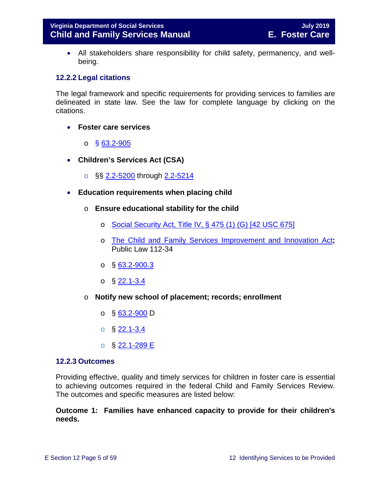• All stakeholders share responsibility for child safety, permanency, and wellbeing.

#### <span id="page-4-0"></span>**12.2.2 Legal citations**

The legal framework and specific requirements for providing services to families are delineated in state law. See the law for complete language by clicking on the citations.

- **Foster care services** 
	- o § [63.2-905](http://law.lis.virginia.gov/vacode/63.2-905/)
- **Children's Services Act (CSA)**
	- o §§ [2.2-5200](http://law.lis.virginia.gov/vacode/2.2-5200/) through [2.2-5214](http://law.lis.virginia.gov/vacode/2.2-5214/)
- **Education requirements when placing child**
	- o **Ensure educational stability for the child**
		- o [Social Security Act, Title IV, § 475 \(1\) \(G\) \[42 USC 675\]](http://www.ssa.gov/OP_Home/ssact/title04/0475.htm)
		- o [The Child and Family Services Improvement and Innovation Act](http://www.gpo.gov/fdsys/pkg/PLAW-112publ34/html/PLAW-112publ34.htm)**;**  Public Law 112-34
		- $\circ$  § [63.2-900.3](http://law.lis.virginia.gov/vacode/63.2-900.3/)
		- $\circ$  § [22.1-3.4](http://law.lis.virginia.gov/vacode/22.1-3.4/)
	- o **Notify new school of placement; records; enrollment**
		- o § [63.2-900](http://law.lis.virginia.gov/vacode/63.2-900/) D
		- $\circ$  § [22.1-3.4](http://law.lis.virginia.gov/vacode/22.1-3.4/)
		- o § [22.1-289 E](http://law.lis.virginia.gov/vacode/22.1-289/)

#### <span id="page-4-1"></span>**12.2.3 Outcomes**

Providing effective, quality and timely services for children in foster care is essential to achieving outcomes required in the federal Child and Family Services Review. The outcomes and specific measures are listed below:

#### **Outcome 1: Families have enhanced capacity to provide for their children's needs.**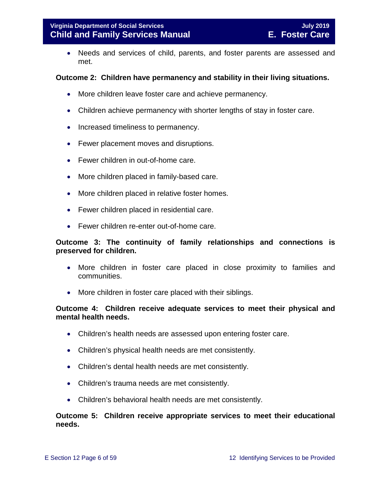• Needs and services of child, parents, and foster parents are assessed and met.

#### **Outcome 2: Children have permanency and stability in their living situations.**

- More children leave foster care and achieve permanency.
- Children achieve permanency with shorter lengths of stay in foster care.
- Increased timeliness to permanency.
- Fewer placement moves and disruptions.
- Fewer children in out-of-home care.
- More children placed in family-based care.
- More children placed in relative foster homes.
- Fewer children placed in residential care.
- Fewer children re-enter out-of-home care.

#### **Outcome 3: The continuity of family relationships and connections is preserved for children.**

- More children in foster care placed in close proximity to families and communities.
- More children in foster care placed with their siblings.

#### **Outcome 4: Children receive adequate services to meet their physical and mental health needs.**

- Children's health needs are assessed upon entering foster care.
- Children's physical health needs are met consistently.
- Children's dental health needs are met consistently.
- Children's trauma needs are met consistently.
- Children's behavioral health needs are met consistently.

#### **Outcome 5: Children receive appropriate services to meet their educational needs.**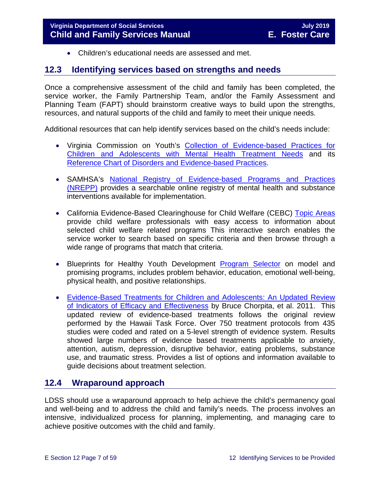<span id="page-6-0"></span>• Children's educational needs are assessed and met.

### <span id="page-6-2"></span>**12.3 Identifying services based on strengths and needs**

Once a comprehensive assessment of the child and family has been completed, the service worker, the Family Partnership Team, and/or the Family Assessment and Planning Team (FAPT) should brainstorm creative ways to build upon the strengths, resources, and natural supports of the child and family to meet their unique needs.

Additional resources that can help identify services based on the child's needs include:

- Virginia Commission on Youth's [Collection of Evidence-based Practices for](http://vcoy.virginia.gov/collection.asp)  [Children and Adolescents with Mental Health Treatment Needs](http://vcoy.virginia.gov/collection.asp) and its [Reference Chart of Disorders and Evidence-based Practices.](http://vcoy.virginia.gov/documents/collection/Reference_Chart.pdf)
- SAMHSA's [National Registry of Evidence-based Programs and Practices](https://www.samhsa.gov/capt/tools-learning-resources/finding-evidence-based-programs)  [\(NREPP\)](https://www.samhsa.gov/capt/tools-learning-resources/finding-evidence-based-programs) provides a searchable online registry of mental health and substance interventions available for implementation.
- California Evidence-Based Clearinghouse for Child Welfare (CEBC) Topic Areas provide child welfare professionals with easy access to information about selected child welfare related programs This interactive search enables the service worker to search based on specific criteria and then browse through a wide range of programs that match that criteria.
- Blueprints for Healthy Youth Development [Program Selector](http://www.blueprintsprograms.com/programSelector.php) on model and promising programs, includes problem behavior, education, emotional well-being, physical health, and positive relationships.
- [Evidence-Based Treatments for Children and Adolescents: An Updated Review](http://www.childfirst.ucla.edu/Chorpita%20et%20al%20(2011)-Evidence-Based%20Treatment%20for%20Children.pdf)  [of Indicators of Efficacy and Effectiveness](http://www.childfirst.ucla.edu/Chorpita%20et%20al%20(2011)-Evidence-Based%20Treatment%20for%20Children.pdf) by Bruce Chorpita, et al. 2011. This updated review of evidence-based treatments follows the original review performed by the Hawaii Task Force. Over 750 treatment protocols from 435 studies were coded and rated on a 5-level strength of evidence system. Results showed large numbers of evidence based treatments applicable to anxiety, attention, autism, depression, disruptive behavior, eating problems, substance use, and traumatic stress. Provides a list of options and information available to guide decisions about treatment selection.

# <span id="page-6-1"></span>**12.4 Wraparound approach**

LDSS should use a wraparound approach to help achieve the child's permanency goal and well-being and to address the child and family's needs. The process involves an intensive, individualized process for planning, implementing, and managing care to achieve positive outcomes with the child and family.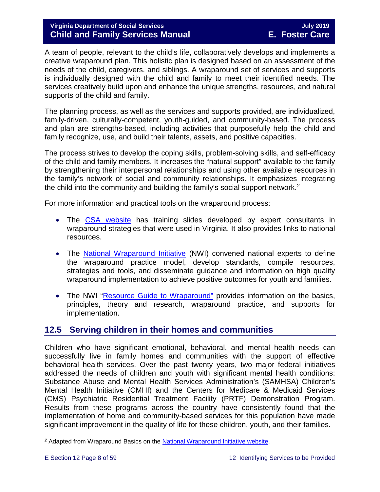#### **Virginia Department of Social Services July 2019 Child and Family Services Manual**

A team of people, relevant to the child's life, collaboratively develops and implements a creative wraparound plan. This holistic plan is designed based on an assessment of the needs of the child, caregivers, and siblings. A wraparound set of services and supports is individually designed with the child and family to meet their identified needs. The services creatively build upon and enhance the unique strengths, resources, and natural supports of the child and family.

The planning process, as well as the services and supports provided, are individualized, family-driven, culturally-competent, youth-guided, and community-based. The process and plan are strengths-based, including activities that purposefully help the child and family recognize, use, and build their talents, assets, and positive capacities.

The process strives to develop the coping skills, problem-solving skills, and self-efficacy of the child and family members. It increases the "natural support" available to the family by strengthening their interpersonal relationships and using other available resources in the family's network of social and community relationships. It emphasizes integrating the child into the community and building the family's social support network.[2](#page-7-1)

For more information and practical tools on the wraparound process:

- The [CSA website](http://www.csa.virginia.gov/html/systems_of_care/Wraparound_strategies.cfm) has training slides developed by expert consultants in wraparound strategies that were used in Virginia. It also provides links to national resources.
- The [National Wraparound Initiative](http://www.nwi.pdx.edu/) (NWI) convened national experts to define the wraparound practice model, develop standards, compile resources, strategies and tools, and disseminate guidance and information on high quality wraparound implementation to achieve positive outcomes for youth and families.
- The NWI ["Resource Guide to Wraparound"](http://www.nwi.pdx.edu/NWI-book/) provides information on the basics, principles, theory and research, wraparound practice, and supports for implementation.

# <span id="page-7-0"></span>**12.5 Serving children in their homes and communities**

Children who have significant emotional, behavioral, and mental health needs can successfully live in family homes and communities with the support of effective behavioral health services. Over the past twenty years, two major federal initiatives addressed the needs of children and youth with significant mental health conditions: Substance Abuse and Mental Health Services Administration's (SAMHSA) Children's Mental Health Initiative (CMHI) and the Centers for Medicare & Medicaid Services (CMS) Psychiatric Residential Treatment Facility (PRTF) Demonstration Program. Results from these programs across the country have consistently found that the implementation of home and community-based services for this population have made significant improvement in the quality of life for these children, youth, and their families.

<span id="page-7-1"></span>ī *<sup>2</sup>* Adapted from Wraparound Basics on the [National Wraparound Initiative website.](http://www.nwi.pdx.edu/)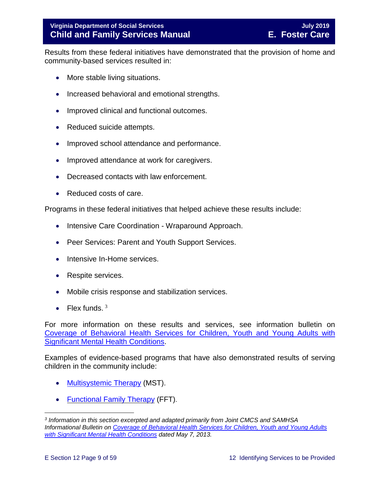Results from these federal initiatives have demonstrated that the provision of home and community-based services resulted in:

- More stable living situations.
- Increased behavioral and emotional strengths.
- Improved clinical and functional outcomes.
- Reduced suicide attempts.
- Improved school attendance and performance.
- Improved attendance at work for caregivers.
- Decreased contacts with law enforcement.
- Reduced costs of care.

Programs in these federal initiatives that helped achieve these results include:

- Intensive Care Coordination Wraparound Approach.
- Peer Services: Parent and Youth Support Services.
- Intensive In-Home services.
- Respite services.
- Mobile crisis response and stabilization services.
- Flex funds.  $3$

For more information on these results and services, see information bulletin on [Coverage of Behavioral Health Services for Children, Youth and Young Adults with](http://www.medicaid.gov/federal-policy-guidance/downloads/CIB-05-07-2013.pdf)  [Significant Mental Health Conditions.](http://www.medicaid.gov/federal-policy-guidance/downloads/CIB-05-07-2013.pdf)

Examples of evidence-based programs that have also demonstrated results of serving children in the community include:

- [Multisystemic](http://mstservices.com/index.php/what-is-mst) Therapy (MST).
- [Functional Family Therapy](http://fftllc.com/) (FFT).

<span id="page-8-0"></span>Ĩ. *<sup>3</sup> Information in this section excerpted and adapted primarily from Joint CMCS and SAMHSA Informational Bulletin on [Coverage of Behavioral Health Services for Children, Youth and Young Adults](http://www.medicaid.gov/federal-policy-guidance/downloads/CIB-05-07-2013.pdf)  [with Significant Mental Health Conditions](http://www.medicaid.gov/federal-policy-guidance/downloads/CIB-05-07-2013.pdf) dated May 7, 2013.*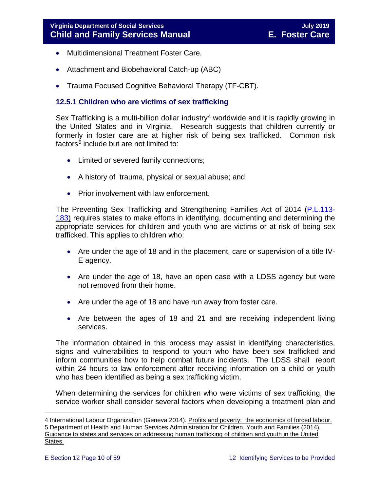- Multidimensional Treatment Foster Care.
- Attachment and Biobehavioral Catch-up (ABC)
- Trauma Focused Cognitive Behavioral Therapy (TF-CBT).

#### <span id="page-9-0"></span>**12.5.1 Children who are victims of sex trafficking**

Sex Trafficking is a multi-billion dollar industry<sup>[4](#page-9-1)</sup> worldwide and it is rapidly growing in the United States and in Virginia. Research suggests that children currently or formerly in foster care are at higher risk of being sex trafficked. Common risk factors<sup>5</sup> include but are not limited to:

- Limited or severed family connections;
- A history of trauma, physical or sexual abuse; and,
- Prior involvement with law enforcement.

The Preventing Sex Trafficking and Strengthening Families Act of 2014 [\(P.L.113-](https://www.congress.gov/113/plaws/publ183/PLAW-113publ183.pdf) [183\)](https://www.congress.gov/113/plaws/publ183/PLAW-113publ183.pdf) requires states to make efforts in identifying, documenting and determining the appropriate services for children and youth who are victims or at risk of being sex trafficked. This applies to children who:

- Are under the age of 18 and in the placement, care or supervision of a title IV-E agency.
- Are under the age of 18, have an open case with a LDSS agency but were not removed from their home.
- Are under the age of 18 and have run away from foster care.
- Are between the ages of 18 and 21 and are receiving independent living services.

The information obtained in this process may assist in identifying characteristics, signs and vulnerabilities to respond to youth who have been sex trafficked and inform communities how to help combat future incidents. The LDSS shall report within 24 hours to law enforcement after receiving information on a child or youth who has been identified as being a sex trafficking victim.

When determining the services for children who were victims of sex trafficking, the service worker shall consider several factors when developing a treatment plan and

<span id="page-9-2"></span><span id="page-9-1"></span>Ĩ. 4 International Labour Organization (Geneva 2014). <u>Profits and poverty: the economics of forced labour.</u> 5 Department of Health and Human Services Administration for Children, Youth and Families (2014). Guidance to states and services on addressing human trafficking of children and youth in the United States.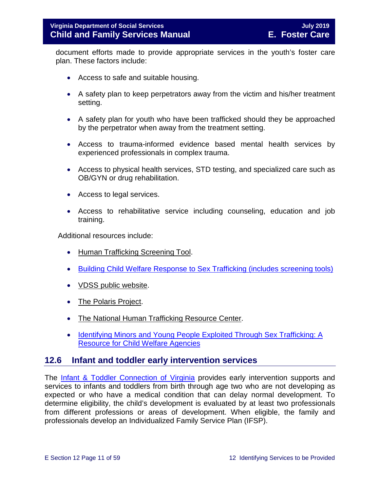document efforts made to provide appropriate services in the youth's foster care plan. These factors include:

- Access to safe and suitable housing.
- A safety plan to keep perpetrators away from the victim and his/her treatment setting.
- A safety plan for youth who have been trafficked should they be approached by the perpetrator when away from the treatment setting.
- Access to trauma-informed evidence based mental health services by experienced professionals in complex trauma.
- Access to physical health services, STD testing, and specialized care such as OB/GYN or drug rehabilitation.
- Access to legal services.
- Access to rehabilitative service including counseling, education and job training.

Additional resources include:

- [Human Trafficking Screening Tool.](http://centerforchildwelfare.fmhi.usf.edu/kb/policymemos/HT_ScreeningTool_FPTraining.pdf)
- [Building Child Welfare Response to Sex Trafficking \(includes screening tools\)](http://www.luc.edu/media/lucedu/chrc/pdfs/BCWRHandbook2011.pdf)
- [VDSS public website.](http://www.dss.virginia.gov/family/fc/index.cgi)
- [The Polaris Project.](http://www.polarisproject.org/about-us/overview)
- [The National Human Trafficking Resource Center.](http://www.traffickingresourcecenter.org/?gclid=CIi1wZa578cCFdQYHwoda9cBkA)
- <span id="page-10-0"></span>• Identifying Minors and Young People Exploited Through Sex Trafficking: A [Resource for Child Welfare Agencies](https://library.childwelfare.gov/cwig/ws/library/docs/capacity/Blob/106060.pdf?w=NATIVE(%27SIMPLE_SRCH+ph+is+%27%27Identifying+Minors+and+Young+People+Exploited+Through+Sex+Trafficking:+A+Resource+for+Child+Welfare+Agencies%27%27%27)&upp=0&order=native(%27year/Descend%27)&rpp=25&r=1&m=1)

#### **12.6 Infant and toddler early intervention services**

The [Infant & Toddler Connection of Virginia](http://www.infantva.org/fam-SupportServices.htm) provides early intervention supports and services to infants and toddlers from birth through age two who are not developing as expected or who have a medical condition that can delay normal development. To determine eligibility, the child's development is evaluated by at least two professionals from different professions or areas of development. When eligible, the family and professionals develop an Individualized Family Service Plan (IFSP).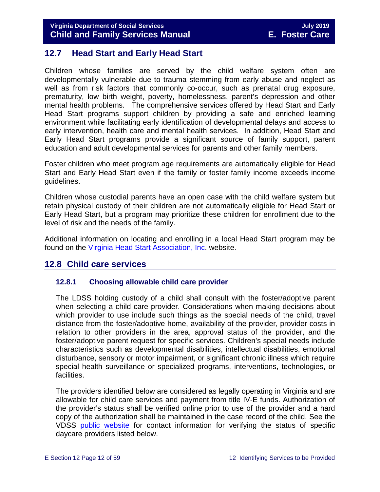# <span id="page-11-0"></span>**12.7 Head Start and Early Head Start**

Children whose families are served by the child welfare system often are developmentally vulnerable due to trauma stemming from early abuse and neglect as well as from risk factors that commonly co-occur, such as prenatal drug exposure, prematurity, low birth weight, poverty, homelessness, parent's depression and other mental health problems. The comprehensive services offered by Head Start and Early Head Start programs support children by providing a safe and enriched learning environment while facilitating early identification of developmental delays and access to early intervention, health care and mental health services. In addition, Head Start and Early Head Start programs provide a significant source of family support, parent education and adult developmental services for parents and other family members.

Foster children who meet program age requirements are automatically eligible for Head Start and Early Head Start even if the family or foster family income exceeds income guidelines.

Children whose custodial parents have an open case with the child welfare system but retain physical custody of their children are not automatically eligible for Head Start or Early Head Start, but a program may prioritize these children for enrollment due to the level of risk and the needs of the family.

Additional information on locating and enrolling in a local Head Start program may be found on the [Virginia Head Start Association, Inc.](http://www.headstartva.org/index.php) website.

# <span id="page-11-1"></span>**12.8 Child care services**

#### <span id="page-11-2"></span>**12.8.1 Choosing allowable child care provider**

The LDSS holding custody of a child shall consult with the foster/adoptive parent when selecting a child care provider. Considerations when making decisions about which provider to use include such things as the special needs of the child, travel distance from the foster/adoptive home, availability of the provider, provider costs in relation to other providers in the area, approval status of the provider, and the foster/adoptive parent request for specific services. Children's special needs include characteristics such as developmental disabilities, intellectual disabilities, emotional disturbance, sensory or motor impairment, or significant chronic illness which require special health surveillance or specialized programs, interventions, technologies, or facilities.

The providers identified below are considered as legally operating in Virginia and are allowable for child care services and payment from title IV-E funds. Authorization of the provider's status shall be verified online prior to use of the provider and a hard copy of the authorization shall be maintained in the case record of the child. See the VDSS [public website](http://www.dss.virginia.gov/family/cc/index.cgi) for contact information for verifying the status of specific daycare providers listed below.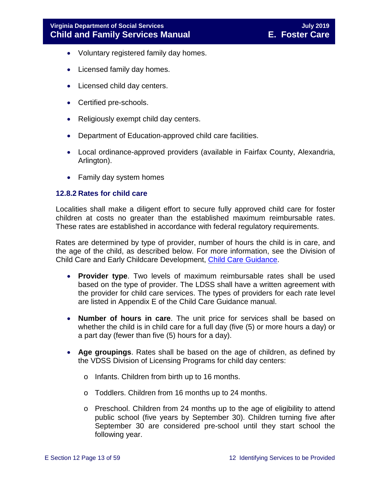- Voluntary registered family day homes.
- Licensed family day homes.
- Licensed child day centers.
- Certified pre-schools.
- Religiously exempt child day centers.
- Department of Education-approved child care facilities.
- Local ordinance-approved providers (available in Fairfax County, Alexandria, Arlington).
- Family day system homes

#### <span id="page-12-0"></span>**12.8.2 Rates for child care**

Localities shall make a diligent effort to secure fully approved child care for foster children at costs no greater than the established maximum reimbursable rates. These rates are established in accordance with federal regulatory requirements.

Rates are determined by type of provider, number of hours the child is in care, and the age of the child, as described below. For more information, see the Division of Child Care and Early Childcare Development, [Child Care Guidance.](https://fusion.dss.virginia.gov/ccecd/CCECD-Home/Child-Care-Subsidy-Program/Program-Guidance)

- **Provider type**. Two levels of maximum reimbursable rates shall be used based on the type of provider. The LDSS shall have a written agreement with the provider for child care services. The types of providers for each rate level are listed in Appendix E of the Child Care Guidance manual.
- **Number of hours in care**. The unit price for services shall be based on whether the child is in child care for a full day (five (5) or more hours a day) or a part day (fewer than five (5) hours for a day).
- **Age groupings**. Rates shall be based on the age of children, as defined by the VDSS Division of Licensing Programs for child day centers:
	- o Infants. Children from birth up to 16 months.
	- o Toddlers. Children from 16 months up to 24 months.
	- o Preschool. Children from 24 months up to the age of eligibility to attend public school (five years by September 30). Children turning five after September 30 are considered pre-school until they start school the following year.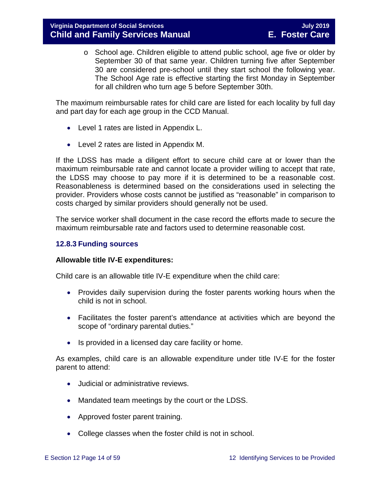o School age. Children eligible to attend public school, age five or older by September 30 of that same year. Children turning five after September 30 are considered pre-school until they start school the following year. The School Age rate is effective starting the first Monday in September for all children who turn age 5 before September 30th.

The maximum reimbursable rates for child care are listed for each locality by full day and part day for each age group in the CCD Manual.

- Level 1 rates are listed in Appendix L.
- Level 2 rates are listed in Appendix M.

If the LDSS has made a diligent effort to secure child care at or lower than the maximum reimbursable rate and cannot locate a provider willing to accept that rate, the LDSS may choose to pay more if it is determined to be a reasonable cost. Reasonableness is determined based on the considerations used in selecting the provider. Providers whose costs cannot be justified as "reasonable" in comparison to costs charged by similar providers should generally not be used.

The service worker shall document in the case record the efforts made to secure the maximum reimbursable rate and factors used to determine reasonable cost.

#### <span id="page-13-0"></span>**12.8.3 Funding sources**

#### **Allowable title IV-E expenditures:**

Child care is an allowable title IV-E expenditure when the child care:

- Provides daily supervision during the foster parents working hours when the child is not in school.
- Facilitates the foster parent's attendance at activities which are beyond the scope of "ordinary parental duties."
- Is provided in a licensed day care facility or home.

As examples, child care is an allowable expenditure under title IV-E for the foster parent to attend:

- Judicial or administrative reviews.
- Mandated team meetings by the court or the LDSS.
- Approved foster parent training.
- College classes when the foster child is not in school.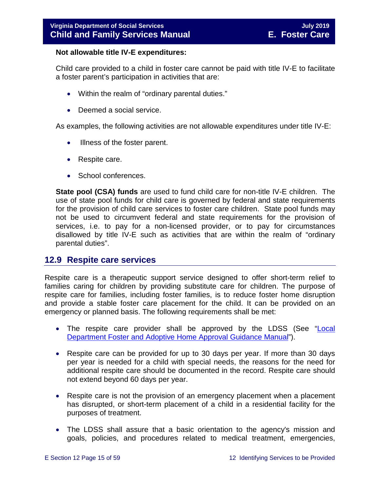#### **Not allowable title IV-E expenditures:**

Child care provided to a child in foster care cannot be paid with title IV-E to facilitate a foster parent's participation in activities that are:

- Within the realm of "ordinary parental duties."
- Deemed a social service.

As examples, the following activities are not allowable expenditures under title IV-E:

- Illness of the foster parent.
- Respite care.
- School conferences.

**State pool (CSA) funds** are used to fund child care for non-title IV-E children. The use of state pool funds for child care is governed by federal and state requirements for the provision of child care services to foster care children. State pool funds may not be used to circumvent federal and state requirements for the provision of services, i.e. to pay for a non-licensed provider, or to pay for circumstances disallowed by title IV-E such as activities that are within the realm of "ordinary parental duties".

### <span id="page-14-0"></span>**12.9 Respite care services**

Respite care is a therapeutic support service designed to offer short-term relief to families caring for children by providing substitute care for children. The purpose of respite care for families, including foster families, is to reduce foster home disruption and provide a stable foster care placement for the child. It can be provided on an emergency or planned basis. The following requirements shall be met:

- The respite care provider shall be approved by the LDSS (See "Local Department [Foster and Adoptive Home Approval Guidance Manual"](https://fusion.dss.virginia.gov/Portals/%5Bdfs%5D/Files/DFS%20Manuals/Family%20Recruitment%20Manuals/Family%20Recruitment%20Manual%20-%202013/Family%20Recruitment%20guidance%20%282013%29.pdf#page=45)).
- Respite care can be provided for up to 30 days per year. If more than 30 days per year is needed for a child with special needs, the reasons for the need for additional respite care should be documented in the record. Respite care should not extend beyond 60 days per year.
- Respite care is not the provision of an emergency placement when a placement has disrupted, or short-term placement of a child in a residential facility for the purposes of treatment.
- The LDSS shall assure that a basic orientation to the agency's mission and goals, policies, and procedures related to medical treatment, emergencies,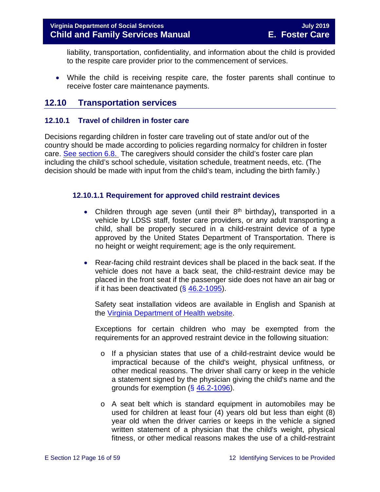liability, transportation, confidentiality, and information about the child is provided to the respite care provider prior to the commencement of services.

• While the child is receiving respite care, the foster parents shall continue to receive foster care maintenance payments.

# <span id="page-15-0"></span>**12.10 Transportation services**

#### <span id="page-15-1"></span>**12.10.1 Travel of children in foster care**

Decisions regarding children in foster care traveling out of state and/or out of the country should be made according to policies regarding normalcy for children in foster care. [See section 6.8.](https://fusion.dss.virginia.gov/Portals/%5bdfs%5d/Files/DFS%20Manuals/Foster%20Care%20Manuals/Foster%20Care%20Manual%2007-2019/section_6_placement_to_achieve_permanency.pdf#page=28) The caregivers should consider the child's foster care plan including the child's school schedule, visitation schedule, treatment needs, etc. (The decision should be made with input from the child's team, including the birth family.)

#### **12.10.1.1 Requirement for approved child restraint devices**

- Children through age seven (until their 8<sup>th</sup> birthday), transported in a vehicle by LDSS staff, foster care providers, or any adult transporting a child, shall be properly secured in a child-restraint device of a type approved by the United States Department of Transportation. There is no height or weight requirement; age is the only requirement.
- Rear-facing child restraint devices shall be placed in the back seat. If the vehicle does not have a back seat, the child-restraint device may be placed in the front seat if the passenger side does not have an air bag or if it has been deactivated  $(\S$  [46.2-1095\)](http://law.lis.virginia.gov/vacode/title46.2/chapter10/section46.2-1095/).

Safety seat installation videos are available in English and Spanish at the [Virginia Department of Health website.](http://www.vahealth.org/injury/safetyseat/laws.htm)

Exceptions for certain children who may be exempted from the requirements for an approved restraint device in the following situation:

- $\circ$  If a physician states that use of a child-restraint device would be impractical because of the child's weight, physical unfitness, or other medical reasons. The driver shall carry or keep in the vehicle a statement signed by the physician giving the child's name and the grounds for exemption (§ [46.2-1096\)](http://law.lis.virginia.gov/vacode/46.2-1096/).
- o A seat belt which is standard equipment in automobiles may be used for children at least four (4) years old but less than eight (8) year old when the driver carries or keeps in the vehicle a signed written statement of a physician that the child's weight, physical fitness, or other medical reasons makes the use of a child-restraint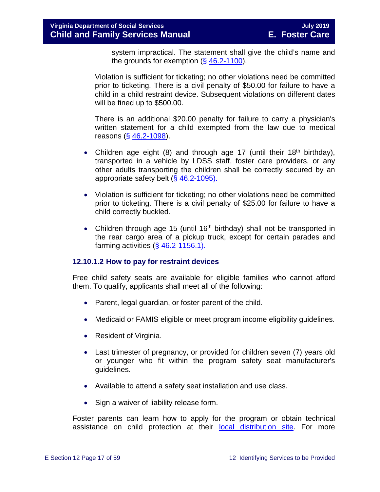system impractical. The statement shall give the child's name and the grounds for exemption  $(\S 46.2-1100)$  $(\S 46.2-1100)$ .

Violation is sufficient for ticketing; no other violations need be committed prior to ticketing. There is a civil penalty of \$50.00 for failure to have a child in a child restraint device. Subsequent violations on different dates will be fined up to \$500.00.

There is an additional \$20.00 penalty for failure to carry a physician's written statement for a child exempted from the law due to medical reasons (§ [46.2-1098\)](http://law.lis.virginia.gov/vacode/46.2-1098/).

- Children age eight (8) and through age 17 (until their 18<sup>th</sup> birthday), transported in a vehicle by LDSS staff, foster care providers, or any other adults transporting the children shall be correctly secured by an appropriate safety belt (§ [46.2-1095\).](http://law.lis.virginia.gov/vacode/46.2-1095/)
- Violation is sufficient for ticketing; no other violations need be committed prior to ticketing. There is a civil penalty of \$25.00 for failure to have a child correctly buckled.
- Children through age 15 (until 16<sup>th</sup> birthday) shall not be transported in the rear cargo area of a pickup truck, except for certain parades and farming activities  $( $\S$  46.2-1156.1).$  $( $\S$  46.2-1156.1).$

#### **12.10.1.2 How to pay for restraint devices**

Free child safety seats are available for eligible families who cannot afford them. To qualify, applicants shall meet all of the following:

- Parent, legal guardian, or foster parent of the child.
- Medicaid or FAMIS eligible or meet program [income eligibility guidelines.](http://www.vahealth.org/Injury/safetyseat/documents/2008/pdf/Income%20Guidelines%20Current.pdf)
- Resident of Virginia.
- Last trimester of pregnancy, or provided for children seven (7) years old or younger who fit within the program safety seat manufacturer's guidelines.
- Available to attend a safety seat installation and use class.
- Sign a waiver of liability release form.

Foster parents can learn how to apply for the program or obtain technical assistance on child protection at their [local distribution site.](http://www.vahealth.org/Injury/safetyseat/) For more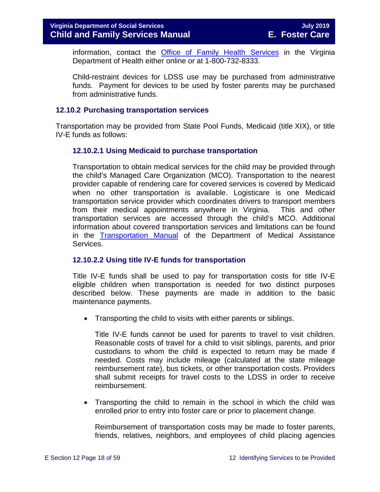information, contact the [Office of Family Health Services](http://www.vdh.virginia.gov/ofhs/) in the Virginia Department of Health either online or at 1-800-732-8333.

Child-restraint devices for LDSS use may be purchased from administrative funds. Payment for devices to be used by foster parents may be purchased from administrative funds.

#### <span id="page-17-0"></span>**12.10.2 Purchasing transportation services**

Transportation may be provided from State Pool Funds, Medicaid (title XIX), or title IV-E funds as follows:

#### **12.10.2.1 Using Medicaid to purchase transportation**

Transportation to obtain medical services for the child may be provided through the child's Managed Care Organization (MCO). Transportation to the nearest provider capable of rendering care for covered services is covered by Medicaid when no other transportation is available. Logisticare is one Medicaid transportation service provider which coordinates drivers to transport members from their medical appointments anywhere in Virginia. This and other transportation services are accessed through the child's MCO. Additional information about covered transportation services and limitations can be found in the **[Transportation Manual](http://transportation.dmas.virginia.gov/Home.aspx)** of the Department of Medical Assistance Services.

#### **12.10.2.2 Using title IV-E funds for transportation**

Title IV-E funds shall be used to pay for transportation costs for title IV-E eligible children when transportation is needed for two distinct purposes described below. These payments are made in addition to the basic maintenance payments.

• Transporting the child to visits with either parents or siblings.

Title IV-E funds cannot be used for parents to travel to visit children. Reasonable costs of travel for a child to visit siblings, parents, and prior custodians to whom the child is expected to return may be made if needed. Costs may include mileage (calculated at the state mileage reimbursement rate), bus tickets, or other transportation costs. Providers shall submit receipts for travel costs to the LDSS in order to receive reimbursement.

• Transporting the child to remain in the school in which the child was enrolled prior to entry into foster care or prior to placement change.

Reimbursement of transportation costs may be made to foster parents, friends, relatives, neighbors, and employees of child placing agencies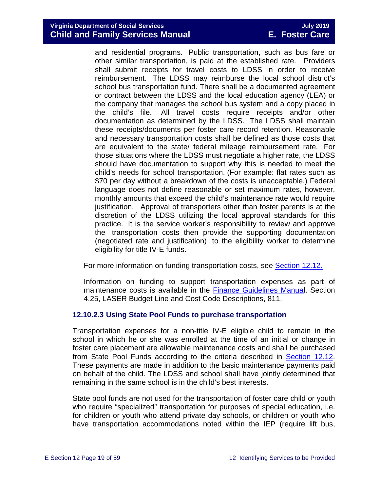#### **Virginia Department of Social Services July 2019 Child and Family Services Manual**

and residential programs. Public transportation, such as bus fare or other similar transportation, is paid at the established rate. Providers shall submit receipts for travel costs to LDSS in order to receive reimbursement. The LDSS may reimburse the local school district's school bus transportation fund. There shall be a documented agreement or contract between the LDSS and the local education agency (LEA) or the company that manages the school bus system and a copy placed in the child's file. All travel costs require receipts and/or other documentation as determined by the LDSS. The LDSS shall maintain these receipts/documents per foster care record retention. Reasonable and necessary transportation costs shall be defined as those costs that are equivalent to the state/ federal mileage reimbursement rate. For those situations where the LDSS must negotiate a higher rate, the LDSS should have documentation to support why this is needed to meet the child's needs for school transportation. (For example: flat rates such as \$70 per day without a breakdown of the costs is unacceptable.) Federal language does not define reasonable or set maximum rates, however, monthly amounts that exceed the child's maintenance rate would require justification. Approval of transporters other than foster parents is at the discretion of the LDSS utilizing the local approval standards for this practice. It is the service worker's responsibility to review and approve the transportation costs then provide the supporting documentation (negotiated rate and justification) to the eligibility worker to determine eligibility for title IV-E funds.

For more information on funding transportation costs, see **Section 12.12.** 

Information on funding to support transportation expenses as part of maintenance costs is available in the [Finance Guidelines Manual](https://fusion.dss.virginia.gov/Portals/%5Bdof%5D/Files/811_iv-e_afdc_foster_care.pdf), Section 4.25, LASER Budget Line and Cost Code Descriptions, 811.

#### **12.10.2.3 Using State Pool Funds to purchase transportation**

Transportation expenses for a non-title IV-E eligible child to remain in the school in which he or she was enrolled at the time of an initial or change in foster care placement are allowable maintenance costs and shall be purchased from State Pool Funds according to the criteria described in [Section 12.12.](#page-49-2) These payments are made in addition to the basic maintenance payments paid on behalf of the child. The LDSS and school shall have jointly determined that remaining in the same school is in the child's best interests.

State pool funds are not used for the transportation of foster care child or youth who require "specialized" transportation for purposes of special education, i.e. for children or youth who attend private day schools, or children or youth who have transportation accommodations noted within the IEP (require lift bus,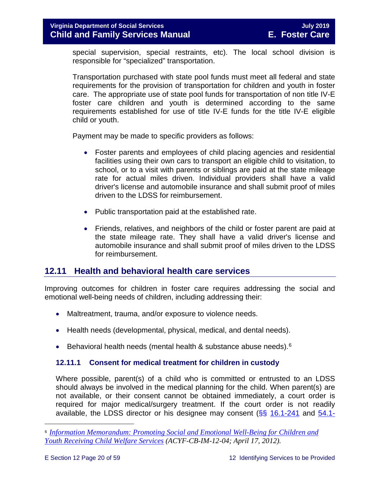special supervision, special restraints, etc). The local school division is responsible for "specialized" transportation.

Transportation purchased with state pool funds must meet all federal and state requirements for the provision of transportation for children and youth in foster care. The appropriate use of state pool funds for transportation of non title IV-E foster care children and youth is determined according to the same requirements established for use of title IV-E funds for the title IV-E eligible child or youth.

Payment may be made to specific providers as follows:

- Foster parents and employees of child placing agencies and residential facilities using their own cars to transport an eligible child to visitation, to school, or to a visit with parents or siblings are paid at the state mileage rate for actual miles driven. Individual providers shall have a valid driver's license and automobile insurance and shall submit proof of miles driven to the LDSS for reimbursement.
- Public transportation paid at the established rate.
- Friends, relatives, and neighbors of the child or foster parent are paid at the state mileage rate. They shall have a valid driver's license and automobile insurance and shall submit proof of miles driven to the LDSS for reimbursement.

# <span id="page-19-0"></span>**12.11 Health and behavioral health care services**

Improving outcomes for children in foster care requires addressing the social and emotional well-being needs of children, including addressing their:

- Maltreatment, trauma, and/or exposure to violence needs.
- Health needs (developmental, physical, medical, and dental needs).
- Behavioral health needs (mental health & substance abuse needs).<sup>[6](#page-19-2)</sup>

### <span id="page-19-1"></span>**12.11.1 Consent for medical treatment for children in custody**

Where possible, parent(s) of a child who is committed or entrusted to an LDSS should always be involved in the medical planning for the child. When parent(s) are not available, or their consent cannot be obtained immediately, a court order is required for major medical/surgery treatment. If the court order is not readily available, the LDSS director or his designee may consent  $(\S_{\mathbb{S}}^6$  [16.1-241](http://law.lis.virginia.gov/vacode/16.1-241/) and  $\overline{54.1}$ -

<span id="page-19-2"></span>Ĩ. <sup>6</sup> *[Information Memorandum: Promoting Social and Emotional Well-Being for Children and](http://www.acf.hhs.gov/sites/default/files/cb/im1204.pdf)  [Youth Receiving Child Welfare Services](http://www.acf.hhs.gov/sites/default/files/cb/im1204.pdf) (ACYF-CB-IM-12-04; April 17, 2012).*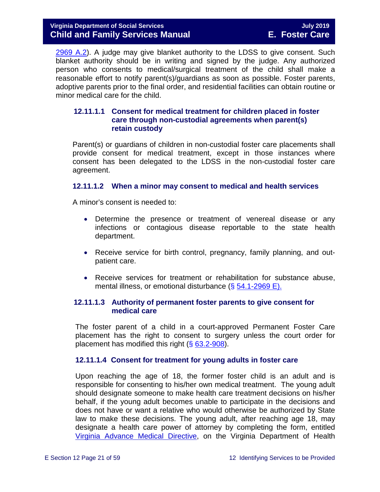#### **Virginia Department of Social Services July 2019 Child and Family Services Manual**

[2969 A.2\)](http://law.lis.virginia.gov/vacode/54.1-2969/). A judge may give blanket authority to the LDSS to give consent. Such blanket authority should be in writing and signed by the judge. Any authorized person who consents to medical/surgical treatment of the child shall make a reasonable effort to notify parent(s)/guardians as soon as possible. Foster parents, adoptive parents prior to the final order, and residential facilities can obtain routine or minor medical care for the child.

#### <span id="page-20-0"></span>**12.11.1.1 Consent for medical treatment for children placed in foster care through non-custodial agreements when parent(s) retain custody**

Parent(s) or guardians of children in non-custodial foster care placements shall provide consent for medical treatment, except in those instances where consent has been delegated to the LDSS in the non-custodial foster care agreement.

#### **12.11.1.2 When a minor may consent to medical and health services**

A minor's consent is needed to:

- Determine the presence or treatment of venereal disease or any infections or contagious disease reportable to the state health department.
- Receive service for birth control, pregnancy, family planning, and outpatient care.
- Receive services for treatment or rehabilitation for substance abuse, mental illness, or emotional disturbance (§ [54.1-2969 E\).](http://law.lis.virginia.gov/vacode/54.1-2969/)

#### **12.11.1.3 Authority of permanent foster parents to give consent for medical care**

The foster parent of a child in a court-approved Permanent Foster Care placement has the right to consent to surgery unless the court order for placement has modified this right  $(\S 63.2 - 908)$ .

#### <span id="page-20-1"></span>**12.11.1.4 Consent for treatment for young adults in foster care**

Upon reaching the age of 18, the former foster child is an adult and is responsible for consenting to his/her own medical treatment. The young adult should designate someone to make health care treatment decisions on his/her behalf, if the young adult becomes unable to participate in the decisions and does not have or want a relative who would otherwise be authorized by State law to make these decisions. The young adult, after reaching age 18, may designate a health care power of attorney by completing the form, entitled [Virginia Advance Medical Directive,](http://www.vdh.virginia.gov/OLC/documents/2008/pdfs/2005%20advanced%20directive%20form.pdf) on the Virginia Department of Health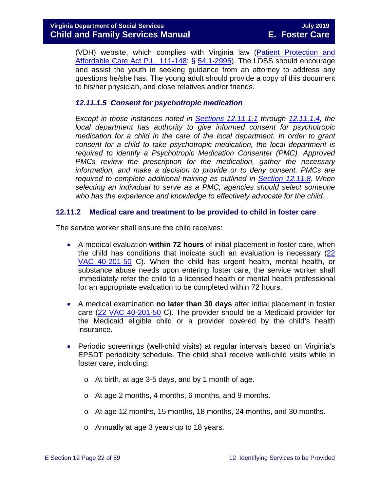(VDH) website, which complies with Virginia law [\(Patient Protection and](http://www.gpo.gov/fdsys/pkg/PLAW-111publ148/pdf/PLAW-111publ148.pdf)  [Affordable Care Act P.L. 111-148;](http://www.gpo.gov/fdsys/pkg/PLAW-111publ148/pdf/PLAW-111publ148.pdf) § [54.1-2995\)](http://law.lis.virginia.gov/vacode/54.1-2995/). The LDSS should encourage and assist the youth in seeking guidance from an attorney to address any questions he/she has. The young adult should provide a copy of this document to his/her physician, and close relatives and/or friends.

#### *12.11.1.5 Consent for psychotropic medication*

*Except in those instances noted in [Sections 12.11.1.1](#page-20-0) through [12.11.1.4,](#page-20-1) the local department has authority to give informed consent for psychotropic medication for a child in the care of the local department. In order to grant consent for a child to take psychotropic medication, the local department is required to identify a Psychotropic Medication Consenter (PMC). Approved PMCs review the prescription for the medication, gather the necessary information, and make a decision to provide or to deny consent. PMCs are required to complete additional training as outlined in [Section 12.11.8.](#page-45-0) When selecting an individual to serve as a PMC, agencies should select someone who has the experience and knowledge to effectively advocate for the child.*

#### <span id="page-21-0"></span>**12.11.2 Medical care and treatment to be provided to child in foster care**

The service worker shall ensure the child receives:

- A medical evaluation **within 72 hours** of initial placement in foster care, when the child has conditions that indicate such an evaluation is necessary [\(22](http://leg1.state.va.us/cgi-bin/legp504.exe?000+reg+22VAC40-201-50)  [VAC 40-201-50](http://leg1.state.va.us/cgi-bin/legp504.exe?000+reg+22VAC40-201-50) C). When the child has urgent health, mental health, or substance abuse needs upon entering foster care, the service worker shall immediately refer the child to a licensed health or mental health professional for an appropriate evaluation to be completed within 72 hours.
- A medical examination **no later than 30 days** after initial placement in foster care [\(22 VAC 40-201-50](http://leg1.state.va.us/cgi-bin/legp504.exe?000+reg+22VAC40-201-50) C). The provider should be a Medicaid provider for the Medicaid eligible child or a provider covered by the child's health insurance.
- Periodic screenings (well-child visits) at regular intervals based on Virginia's EPSDT periodicity schedule. The child shall receive well-child visits while in foster care, including:
	- o At birth, at age 3-5 days, and by 1 month of age.
	- o At age 2 months, 4 months, 6 months, and 9 months.
	- o At age 12 months, 15 months, 18 months, 24 months, and 30 months.
	- o Annually at age 3 years up to 18 years.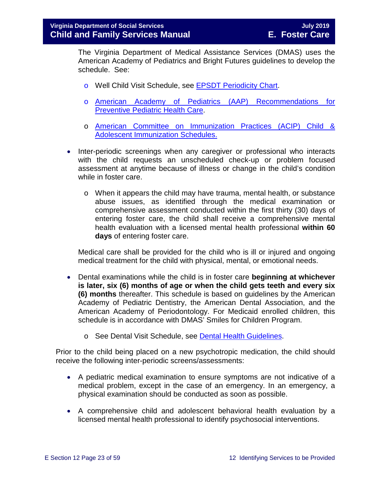The Virginia Department of Medical Assistance Services (DMAS) uses the American Academy of Pediatrics and Bright Futures guidelines to develop the schedule. See:

- o Well Child Visit Schedule, see [EPSDT Periodicity Chart.](http://www.dmas.virginia.gov/Content_atchs/mch/mch-epsdt_poi2.pdf)
- o [American Academy of Pediatrics \(AAP\) Recommendations for](http://pediatrics.aappublications.org/cgi/data/120/6/1376/DC1/1)  **[Preventive Pediatric Health Care.](http://pediatrics.aappublications.org/cgi/data/120/6/1376/DC1/1)**
- o [American Committee on Immunization Practices \(ACIP\) Child &](http://www.cdc.gov/vaccines/schedules/index.html)  [Adolescent Immunization Schedules.](http://www.cdc.gov/vaccines/schedules/index.html)
- Inter-periodic screenings when any caregiver or professional who interacts with the child requests an unscheduled check-up or problem focused assessment at anytime because of illness or change in the child's condition while in foster care.
	- o When it appears the child may have trauma, mental health, or substance abuse issues, as identified through the medical examination or comprehensive assessment conducted within the first thirty (30) days of entering foster care, the child shall receive a comprehensive mental health evaluation with a licensed mental health professional **within 60 days** of entering foster care.

Medical care shall be provided for the child who is ill or injured and ongoing medical treatment for the child with physical, mental, or emotional needs.

- Dental examinations while the child is in foster care **beginning at whichever is later, six (6) months of age or when the child gets teeth and every six (6) months** thereafter. This schedule is based on guidelines by the American Academy of Pediatric Dentistry, the American Dental Association, and the American Academy of Periodontology. For Medicaid enrolled children, this schedule is in accordance with DMAS' Smiles for Children Program.
	- o See Dental Visit Schedule, see [Dental Health Guidelines.](http://www.dmas.virginia.gov/Content_atchs/dnt/dnt-schdl.pdf)

Prior to the child being placed on a new psychotropic medication, the child should receive the following inter-periodic screens/assessments:

- A pediatric medical examination to ensure symptoms are not indicative of a medical problem, except in the case of an emergency. In an emergency, a physical examination should be conducted as soon as possible.
- A comprehensive child and adolescent behavioral health evaluation by a licensed mental health professional to identify psychosocial interventions.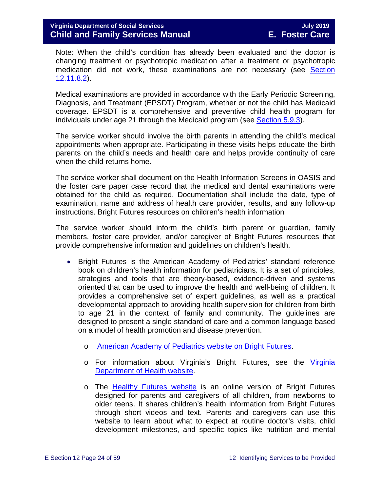Note: When the child's condition has already been evaluated and the doctor is changing treatment or psychotropic medication after a treatment or psychotropic medication did not work, these examinations are not necessary (see [Section](#page-42-0)  [12.11.8.2\)](#page-42-0).

Medical examinations are provided in accordance with the Early Periodic Screening, Diagnosis, and Treatment (EPSDT) Program, whether or not the child has Medicaid coverage. EPSDT is a comprehensive and preventive child health program for individuals under age 21 through the Medicaid program (see [Section 5.9.3\)](https://fusion.dss.virginia.gov/Portals/%5bdfs%5d/Files/DFS%20Manuals/Foster%20Care%20Manuals/Foster%20Care%20Manual%2007-2019/section_5_conducting_child_and_family_assessment.pdf#page=21).

The service worker should involve the birth parents in attending the child's medical appointments when appropriate. Participating in these visits helps educate the birth parents on the child's needs and health care and helps provide continuity of care when the child returns home.

The service worker shall document on the Health Information Screens in OASIS and the foster care paper case record that the medical and dental examinations were obtained for the child as required. Documentation shall include the date, type of examination, name and address of health care provider, results, and any follow-up instructions. Bright Futures resources on children's health information

The service worker should inform the child's birth parent or guardian, family members, foster care provider, and/or caregiver of Bright Futures resources that provide comprehensive information and guidelines on children's health.

- Bright Futures is the American Academy of Pediatrics' standard reference book on children's health information for pediatricians. It is a set of principles, strategies and tools that are theory-based, evidence-driven and systems oriented that can be used to improve the health and well-being of children. It provides a comprehensive set of expert guidelines, as well as a practical developmental approach to providing health supervision for children from birth to age 21 in the context of family and community. The guidelines are designed to present a single standard of care and a common language based on a model of health promotion and disease prevention.
	- o [American Academy of Pediatrics website on Bright Futures.](https://brightfutures.aap.org/Pages/default.aspx)
	- o For information about Virginia's Bright Futures, see the [Virginia](http://www.vahealth.org/Brightfutures/index.htm)  [Department of Health website.](http://www.vahealth.org/Brightfutures/index.htm)
	- o The [Healthy Futures website](https://www.vdh.virginia.gov/brightfutures/default.html) is an online version of Bright Futures designed for parents and caregivers of all children, from newborns to older teens. It shares children's health information from Bright Futures through short videos and text. Parents and caregivers can use this website to learn about what to expect at routine doctor's visits, child development milestones, and specific topics like nutrition and mental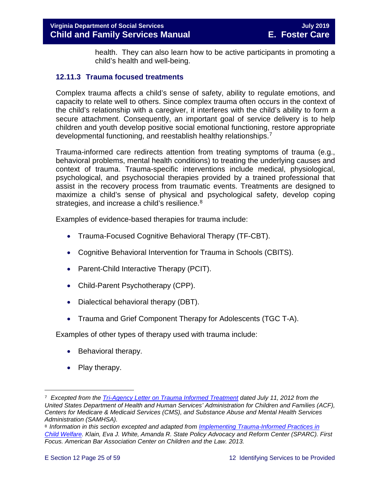<span id="page-24-0"></span>health. They can also learn how to be active participants in promoting a child's health and well-being.

#### <span id="page-24-3"></span>**12.11.3 Trauma focused treatments**

Complex trauma affects a child's sense of safety, ability to regulate emotions, and capacity to relate well to others. Since complex trauma often occurs in the context of the child's relationship with a caregiver, it interferes with the child's ability to form a secure attachment. Consequently, an important goal of service delivery is to help children and youth develop positive social emotional functioning, restore appropriate developmental functioning, and reestablish healthy relationships.[7](#page-24-1)

Trauma-informed care redirects attention from treating symptoms of trauma (e.g., behavioral problems, mental health conditions) to treating the underlying causes and context of trauma. Trauma-specific interventions include medical, physiological, psychological, and psychosocial therapies provided by a trained professional that assist in the recovery process from traumatic events. Treatments are designed to maximize a child's sense of physical and psychological safety, develop coping strategies, and increase a child's resilience.<sup>[8](#page-24-2)</sup>

Examples of evidence-based therapies for trauma include:

- Trauma-Focused Cognitive Behavioral Therapy (TF-CBT).
- Cognitive Behavioral Intervention for Trauma in Schools (CBITS).
- Parent-Child Interactive Therapy (PCIT).
- Child-Parent Psychotherapy (CPP).
- Dialectical behavioral therapy (DBT).
- Trauma and Grief Component Therapy for Adolescents (TGC T-A).

Examples of other types of therapy used with trauma include:

- Behavioral therapy.
- Play therapy.

<span id="page-24-1"></span>Ĩ. <sup>7</sup> *Excepted from the [Tri-Agency Letter on Trauma Informed Treatment](http://www.medicaid.gov/Federal-Policy-Guidance/Downloads/SMD-13-07-11.pdf) dated July 11, 2012 from the United States Department of Health and Human Services' Administration for Children and Families (ACF), Centers for Medicare & Medicaid Services (CMS), and Substance Abuse and Mental Health Services Administration (SAMHSA).*

<span id="page-24-2"></span><sup>8</sup> *Information in this section excepted and adapted from [Implementing Trauma-Informed Practices in](http://childwelfaresparc.org/wp-content/uploads/2013/11/Implementing-Trauma-Informed-Practices.pdf)  [Child Welfare.](http://childwelfaresparc.org/wp-content/uploads/2013/11/Implementing-Trauma-Informed-Practices.pdf) Klain, Eva J. White, Amanda R. State Policy Advocacy and Reform Center (SPARC). First Focus. American Bar Association Center on Children and the Law. 2013.*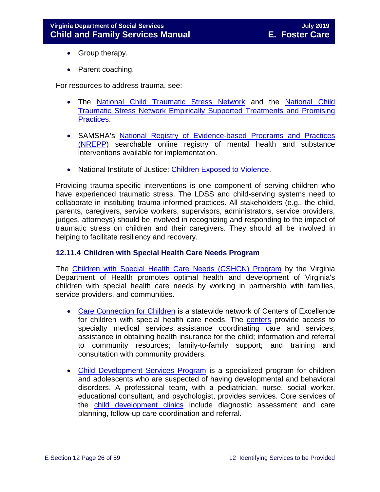- Group therapy.
- Parent coaching.

For resources to address trauma, see:

- The [National Child Traumatic Stress Network](http://www.nctsn.org/) and the [National Child](http://www.nctsn.org/resources/topics/treatments-that-work/promising-practices)  [Traumatic Stress Network Empirically Supported Treatments and Promising](http://www.nctsn.org/resources/topics/treatments-that-work/promising-practices)  [Practices.](http://www.nctsn.org/resources/topics/treatments-that-work/promising-practices)
- SAMSHA's [National Registry of Evidence-based Programs and Practices](https://www.samhsa.gov/nrepp)  [\(NREPP\)](https://www.samhsa.gov/nrepp) searchable online registry of mental health and substance interventions available for implementation.
- National Institute of Justice: [Children Exposed to Violence.](https://www.crimesolutions.gov/TopicDetails.aspx?ID=60)

Providing trauma-specific interventions is one component of serving children who have experienced traumatic stress. The LDSS and child-serving systems need to collaborate in instituting trauma-informed practices. All stakeholders (e.g., the child, parents, caregivers, service workers, supervisors, administrators, service providers, judges, attorneys) should be involved in recognizing and responding to the impact of traumatic stress on children and their caregivers. They should all be involved in helping to facilitate resiliency and recovery.

#### <span id="page-25-0"></span>**12.11.4 Children with Special Health Care Needs Program**

The [Children with Special Health Care Needs \(CSHCN\) Program](http://www.vahealth.org/specialchildren/) by the Virginia Department of Health promotes optimal health and development of Virginia's children with special health care needs by working in partnership with families, service providers, and communities.

- [Care Connection for Children](http://www.vdh.virginia.gov/ofhs/childandfamily/childhealth/cshcn/care.htm) is a statewide network of Centers of Excellence for children with special health care needs. The [centers](http://www.vdh.virginia.gov/ofhs/childandfamily/childhealth/cshcn/documents/2012/pdf/City-County%20Map%20oct-10%20CCC%20Centers%20with%20phone%20numbers.pdf) provide access to specialty medical services; assistance coordinating care and services; assistance in obtaining health insurance for the child; information and referral to community resources; family-to-family support; and training and consultation with community providers.
- [Child Development Services Program](http://www.vdh.virginia.gov/ofhs/childandfamily/childhealth/cshcn/developmentServices.htm) is a specialized program for children and adolescents who are suspected of having developmental and behavioral disorders. A professional team, with a pediatrician, nurse, social worker, educational consultant, and psychologist, provides services. Core services of the [child development clinics](http://www.vdh.virginia.gov/ofhs/childandfamily/childhealth/cshcn/cdsClinics.htm) include diagnostic assessment and care planning, follow-up care coordination and referral.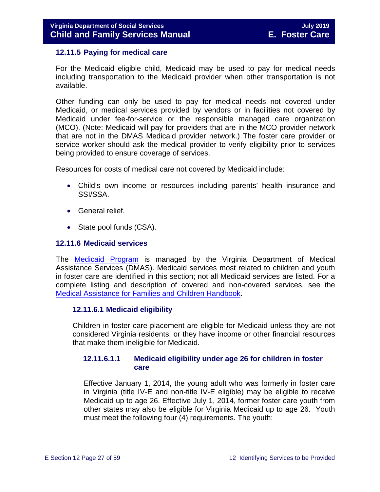#### <span id="page-26-0"></span>**12.11.5 Paying for medical care**

For the Medicaid eligible child, Medicaid may be used to pay for medical needs including transportation to the Medicaid provider when other transportation is not available.

Other funding can only be used to pay for medical needs not covered under Medicaid, or medical services provided by vendors or in facilities not covered by Medicaid under fee-for-service or the responsible managed care organization (MCO). (Note: Medicaid will pay for providers that are in the MCO provider network that are not in the DMAS Medicaid provider network.) The foster care provider or service worker should ask the medical provider to verify eligibility prior to services being provided to ensure coverage of services.

Resources for costs of medical care not covered by Medicaid include:

- Child's own income or resources including parents' health insurance and SSI/SSA.
- General relief.
- State pool funds (CSA).

#### <span id="page-26-1"></span>**12.11.6 Medicaid services**

The **[Medicaid Program](http://dmasva.dmas.virginia.gov/Content_pgs/rcp-home.aspx)** is managed by the Virginia Department of Medical Assistance Services (DMAS). Medicaid services most related to children and youth in foster care are identified in this section; not all Medicaid services are listed. For a complete listing and description of covered and non-covered services, see the [Medical Assistance for Families and Children](http://dmasva.dmas.virginia.gov/Content_atchs/atchs/medbook-eng.pdf) Handbook.

#### **12.11.6.1 Medicaid eligibility**

Children in foster care placement are eligible for Medicaid unless they are not considered Virginia residents, or they have income or other financial resources that make them ineligible for Medicaid.

#### **12.11.6.1.1 Medicaid eligibility under age 26 for children in foster care**

Effective January 1, 2014, the young adult who was formerly in foster care in Virginia (title IV-E and non-title IV-E eligible) may be eligible to receive Medicaid up to age 26. Effective July 1, 2014, former foster care youth from other states may also be eligible for Virginia Medicaid up to age 26. Youth must meet the following four (4) requirements. The youth: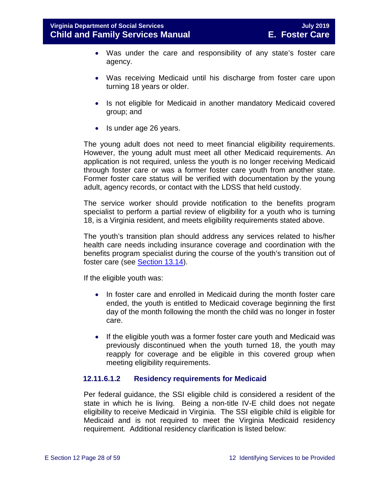- Was under the care and responsibility of any state's foster care agency.
- Was receiving Medicaid until his discharge from foster care upon turning 18 years or older.
- Is not eligible for Medicaid in another mandatory Medicaid covered group; and
- Is under age 26 years.

The young adult does not need to meet financial eligibility requirements. However, the young adult must meet all other Medicaid requirements. An application is not required, unless the youth is no longer receiving Medicaid through foster care or was a former foster care youth from another state. Former foster care status will be verified with documentation by the young adult, agency records, or contact with the LDSS that held custody.

The service worker should provide notification to the benefits program specialist to perform a partial review of eligibility for a youth who is turning 18, is a Virginia resident, and meets eligibility requirements stated above.

The youth's transition plan should address any services related to his/her health care needs including insurance coverage and coordination with the benefits program specialist during the course of the youth's transition out of foster care (see [Section 13.14\)](https://fusion.dss.virginia.gov/Portals/%5bdfs%5d/Files/DFS%20Manuals/Foster%20Care%20Manuals/Foster%20Care%20Manual%2007-2019/Section_13_achieving_permanency_for_older_youth.pdf#page=37).

If the eligible youth was:

- In foster care and enrolled in Medicaid during the month foster care ended, the youth is entitled to Medicaid coverage beginning the first day of the month following the month the child was no longer in foster care.
- If the eligible youth was a former foster care youth and Medicaid was previously discontinued when the youth turned 18, the youth may reapply for coverage and be eligible in this covered group when meeting eligibility requirements.

#### **12.11.6.1.2 Residency requirements for Medicaid**

Per federal guidance, the SSI eligible child is considered a resident of the state in which he is living. Being a non-title IV-E child does not negate eligibility to receive Medicaid in Virginia. The SSI eligible child is eligible for Medicaid and is not required to meet the Virginia Medicaid residency requirement. Additional residency clarification is listed below: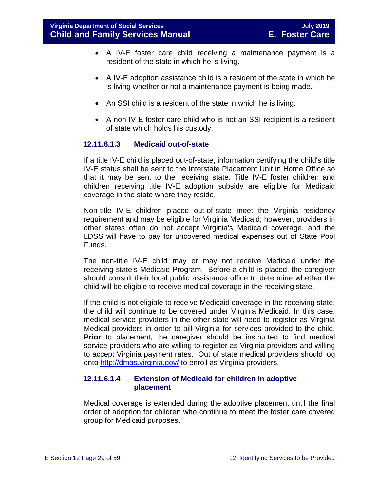- A IV-E foster care child receiving a maintenance payment is a resident of the state in which he is living.
- A IV-E adoption assistance child is a resident of the state in which he is living whether or not a maintenance payment is being made.
- An SSI child is a resident of the state in which he is living.
- A non-IV-E foster care child who is not an SSI recipient is a resident of state which holds his custody.

#### **12.11.6.1.3 Medicaid out-of-state**

If a title IV-E child is placed out-of-state, information certifying the child's title IV-E status shall be sent to the Interstate Placement Unit in Home Office so that it may be sent to the receiving state. Title IV-E foster children and children receiving title IV-E adoption subsidy are eligible for Medicaid coverage in the state where they reside.

Non-title IV-E children placed out-of-state meet the Virginia residency requirement and may be eligible for Virginia Medicaid; however, providers in other states often do not accept Virginia's Medicaid coverage, and the LDSS will have to pay for uncovered medical expenses out of State Pool Funds.

The non-title IV-E child may or may not receive Medicaid under the receiving state's Medicaid Program. Before a child is placed, the caregiver should consult their local public assistance office to determine whether the child will be eligible to receive medical coverage in the receiving state.

If the child is not eligible to receive Medicaid coverage in the receiving state, the child will continue to be covered under Virginia Medicaid. In this case, medical service providers in the other state will need to register as Virginia Medical providers in order to bill Virginia for services provided to the child. **Prior** to placement, the caregiver should be instructed to find medical service providers who are willing to register as Virginia providers and willing to accept Virginia payment rates. Out of state medical providers should log onto<http://dmas.virginia.gov/> to enroll as Virginia providers.

#### **12.11.6.1.4 Extension of Medicaid for children in adoptive placement**

Medical coverage is extended during the adoptive placement until the final order of adoption for children who continue to meet the foster care covered group for Medicaid purposes.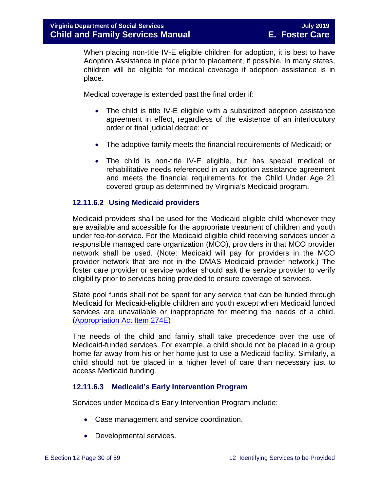When placing non-title IV-E eligible children for adoption, it is best to have Adoption Assistance in place prior to placement, if possible. In many states, children will be eligible for medical coverage if adoption assistance is in place.

Medical coverage is extended past the final order if:

- The child is title IV-E eligible with a subsidized adoption assistance agreement in effect, regardless of the existence of an interlocutory order or final judicial decree; or
- The adoptive family meets the financial requirements of Medicaid; or
- The child is non-title IV-E eligible, but has special medical or rehabilitative needs referenced in an adoption assistance agreement and meets the financial requirements for the Child Under Age 21 covered group as determined by Virginia's Medicaid program.

#### **12.11.6.2 Using Medicaid providers**

Medicaid providers shall be used for the Medicaid eligible child whenever they are available and accessible for the appropriate treatment of children and youth under fee-for-service. For the Medicaid eligible child receiving services under a responsible managed care organization (MCO), providers in that MCO provider network shall be used. (Note: Medicaid will pay for providers in the MCO provider network that are not in the DMAS Medicaid provider network.) The foster care provider or service worker should ask the service provider to verify eligibility prior to services being provided to ensure coverage of services.

State pool funds shall not be spent for any service that can be funded through Medicaid for Medicaid-eligible children and youth except when Medicaid funded services are unavailable or inappropriate for meeting the needs of a child. [\(Appropriation Act Item 274E\)](http://lis.virginia.gov/cgi-bin/legp604.exe?111+bud+21-274)

The needs of the child and family shall take precedence over the use of Medicaid-funded services. For example, a child should not be placed in a group home far away from his or her home just to use a Medicaid facility. Similarly, a child should not be placed in a higher level of care than necessary just to access Medicaid funding.

#### **12.11.6.3 Medicaid's Early Intervention Program**

Services under Medicaid's Early Intervention Program include:

- Case management and service coordination.
- Developmental services.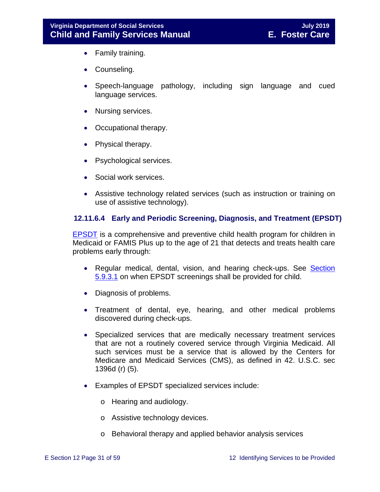- Family training.
- Counseling.
- Speech-language pathology, including sign language and cued language services.
- Nursing services.
- Occupational therapy.
- Physical therapy.
- Psychological services.
- Social work services.
- Assistive technology related services (such as instruction or training on use of assistive technology).

#### **12.11.6.4 Early and Periodic Screening, Diagnosis, and Treatment (EPSDT)**

[EPSDT](http://dmasva.dmas.virginia.gov/Content_pgs/mch-home.aspx) is a comprehensive and preventive child health program for children in Medicaid or FAMIS Plus up to the age of 21 that detects and treats health care problems early through:

- Regular medical, dental, vision, and hearing check-ups. See Section [5.9.3.1](https://fusion.dss.virginia.gov/Portals/%5bdfs%5d/Files/DFS%20Manuals/Foster%20Care%20Manuals/Foster%20Care%20Manual%2007-2019/section_5_conducting_child_and_family_assessment.pdf#page=22) on when EPSDT screenings shall be provided for child.
- Diagnosis of problems.
- Treatment of dental, eye, hearing, and other medical problems discovered during check-ups.
- Specialized services that are medically necessary treatment services that are not a routinely covered service through Virginia Medicaid. All such services must be a service that is allowed by the Centers for Medicare and Medicaid Services (CMS), as defined in 42. U.S.C. sec 1396d (r) (5).
- Examples of EPSDT specialized services include:
	- o Hearing and audiology.
	- o Assistive technology devices.
	- o Behavioral therapy and applied behavior analysis services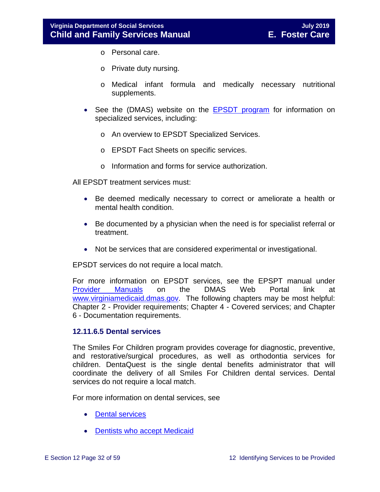- o Personal care.
- o Private duty nursing.
- o Medical infant formula and medically necessary nutritional supplements.
- See the (DMAS) website on the [EPSDT program](http://www.dmas.virginia.gov/Content_pgs/mch-home.aspx) for information on specialized services, including:
	- o An overview to EPSDT Specialized Services.
	- o EPSDT Fact Sheets on specific services.
	- o Information and forms for service authorization.

All EPSDT treatment services must:

- Be deemed medically necessary to correct or ameliorate a health or mental health condition.
- Be documented by a physician when the need is for specialist referral or treatment.
- Not be services that are considered experimental or investigational.

EPSDT services do not require a local match.

For more information on EPSDT services, see the EPSPT manual under [Provider Manuals](https://www.virginiamedicaid.dmas.virginia.gov/wps/portal/ProviderManual) on the DMAS Web Portal link at [www.virginiamedicaid.dmas.gov.](http://www.virginiamedicaid.dmas.gov/) The following chapters may be most helpful: Chapter 2 - Provider requirements; Chapter 4 - Covered services; and Chapter 6 - Documentation requirements.

#### **12.11.6.5 Dental services**

The Smiles For Children program provides coverage for diagnostic, preventive, and restorative/surgical procedures, as well as orthodontia services for children. DentaQuest is the single dental benefits administrator that will coordinate the delivery of all Smiles For Children dental services. Dental services do not require a local match.

For more information on dental services, see

- [Dental services](http://dmasva.dmas.virginia.gov/Content_pgs/dental-home.aspx)
- [Dentists who accept Medicaid](http://dmasva.dmas.virginia.gov/Content_pgs/dental-home.aspx)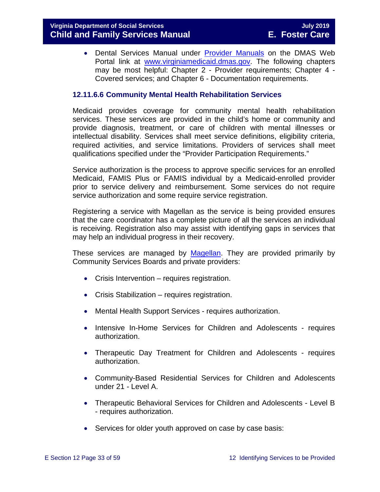• Dental Services Manual under [Provider Manuals](https://www.virginiamedicaid.dmas.virginia.gov/wps/portal/ProviderManual) on the DMAS Web Portal link at [www.virginiamedicaid.dmas.gov.](http://www.virginiamedicaid.dmas.gov/) The following chapters may be most helpful: Chapter 2 - Provider requirements; Chapter 4 - Covered services; and Chapter 6 - Documentation requirements.

#### **12.11.6.6 Community Mental Health Rehabilitation Services**

Medicaid provides coverage for community mental health rehabilitation services. These services are provided in the child's home or community and provide diagnosis, treatment, or care of children with mental illnesses or intellectual disability. Services shall meet service definitions, eligibility criteria, required activities, and service limitations. Providers of services shall meet qualifications specified under the "Provider Participation Requirements."

Service authorization is the process to approve specific services for an enrolled Medicaid, FAMIS Plus or FAMIS individual by a Medicaid-enrolled provider prior to service delivery and reimbursement. Some services do not require service authorization and some require service registration.

Registering a service with Magellan as the service is being provided ensures that the care coordinator has a complete picture of all the services an individual is receiving. Registration also may assist with identifying gaps in services that may help an individual progress in their recovery.

These services are managed by [Magellan.](http://www.magellanofvirginia.com/) They are provided primarily by Community Services Boards and private providers:

- Crisis Intervention requires registration.
- Crisis Stabilization requires registration.
- Mental Health Support Services requires authorization.
- Intensive In-Home Services for Children and Adolescents requires authorization.
- Therapeutic Day Treatment for Children and Adolescents requires authorization.
- Community-Based Residential Services for Children and Adolescents under 21 - Level A.
- Therapeutic Behavioral Services for Children and Adolescents Level B - requires authorization.
- Services for older youth approved on case by case basis: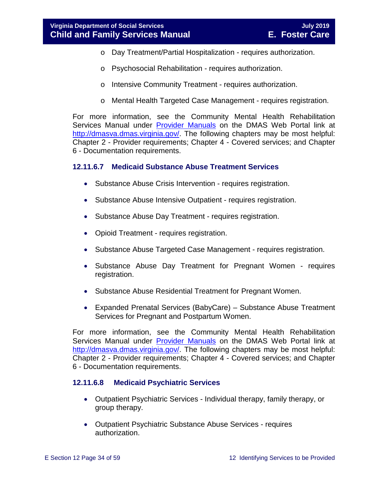- o Day Treatment/Partial Hospitalization requires authorization.
- o Psychosocial Rehabilitation requires authorization.
- o Intensive Community Treatment requires authorization.
- o Mental Health Targeted Case Management requires registration.

For more information, see the Community Mental Health Rehabilitation Services Manual under **[Provider Manuals](https://www.virginiamedicaid.dmas.virginia.gov/wps/portal/ProviderManual)** on the DMAS Web Portal link at [http://dmasva.dmas.virginia.gov/.](http://dmasva.dmas.virginia.gov/) The following chapters may be most helpful: Chapter 2 - Provider requirements; Chapter 4 - Covered services; and Chapter 6 - Documentation requirements.

#### **12.11.6.7 Medicaid Substance Abuse Treatment Services**

- Substance Abuse Crisis Intervention requires registration.
- Substance Abuse Intensive Outpatient requires registration.
- Substance Abuse Day Treatment requires registration.
- Opioid Treatment requires registration.
- Substance Abuse Targeted Case Management requires registration.
- Substance Abuse Day Treatment for Pregnant Women requires registration.
- Substance Abuse Residential Treatment for Pregnant Women.
- Expanded Prenatal Services (BabyCare) Substance Abuse Treatment Services for Pregnant and Postpartum Women.

For more information, see the Community Mental Health Rehabilitation Services Manual under **[Provider Manuals](https://www.virginiamedicaid.dmas.virginia.gov/wps/portal/ProviderManual)** on the DMAS Web Portal link at [http://dmasva.dmas.virginia.gov/.](http://dmasva.dmas.virginia.gov/) The following chapters may be most helpful: Chapter 2 - Provider requirements; Chapter 4 - Covered services; and Chapter 6 - Documentation requirements.

#### **12.11.6.8 Medicaid Psychiatric Services**

- Outpatient Psychiatric Services Individual therapy, family therapy, or group therapy.
- Outpatient Psychiatric Substance Abuse Services requires authorization.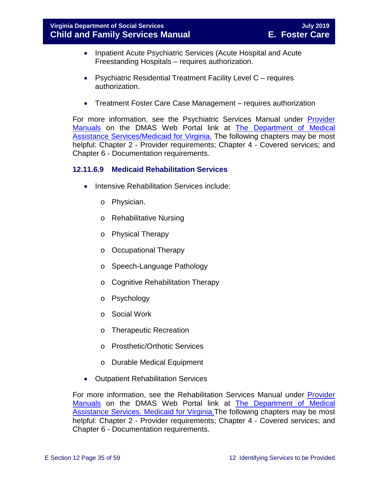- Inpatient Acute Psychiatric Services (Acute Hospital and Acute Freestanding Hospitals – requires authorization.
- Psychiatric Residential Treatment Facility Level C requires authorization.
- Treatment Foster Care Case Management requires authorization

For more information, see the Psychiatric Services Manual under [Provider](https://www.virginiamedicaid.dmas.virginia.gov/wps/portal/ProviderManual)  [Manuals](https://www.virginiamedicaid.dmas.virginia.gov/wps/portal/ProviderManual) on the DMAS Web Portal link at [The Department of Medical](http://dmasva.dmas.virginia.gov/)  [Assistance Services/Medicaid for Virginia.](http://dmasva.dmas.virginia.gov/) The following chapters may be most helpful: Chapter 2 - Provider requirements; Chapter 4 - Covered services; and Chapter 6 - Documentation requirements.

#### **12.11.6.9 Medicaid Rehabilitation Services**

- Intensive Rehabilitation Services include:
	- o Physician.
	- o Rehabilitative Nursing
	- o Physical Therapy
	- o Occupational Therapy
	- o Speech-Language Pathology
	- o Cognitive Rehabilitation Therapy
	- o Psychology
	- o Social Work
	- o Therapeutic Recreation
	- o Prosthetic/Orthotic Services
	- o Durable Medical Equipment
- Outpatient Rehabilitation Services

For more information, see the Rehabilitation Services Manual under [Provider](https://www.virginiamedicaid.dmas.virginia.gov/wps/portal/ProviderManual)  [Manuals](https://www.virginiamedicaid.dmas.virginia.gov/wps/portal/ProviderManual) on the DMAS Web Portal link at [The Department of Medical](http://dmasva.dmas.virginia.gov/)  [Assistance Services. Medicaid for Virginia.T](http://dmasva.dmas.virginia.gov/)he following chapters may be most helpful: Chapter 2 - Provider requirements; Chapter 4 - Covered services; and Chapter 6 - Documentation requirements.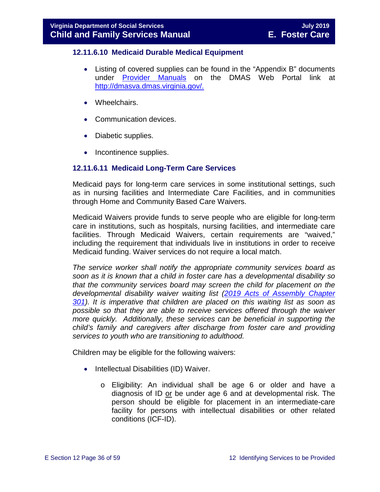#### **12.11.6.10 Medicaid Durable Medical Equipment**

- Listing of covered supplies can be found in the "Appendix B" documents under [Provider Manuals](https://www.virginiamedicaid.dmas.virginia.gov/wps/portal/ProviderManual) on the DMAS Web Portal link at [http://dmasva.dmas.virginia.gov/.](http://dmasva.dmas.virginia.gov/)
- Wheelchairs.
- Communication devices.
- Diabetic supplies.
- Incontinence supplies.

#### **12.11.6.11 Medicaid Long-Term Care Services**

Medicaid pays for long-term care services in some institutional settings, such as in nursing facilities and Intermediate Care Facilities, and in communities through Home and Community Based Care Waivers.

Medicaid Waivers provide funds to serve people who are eligible for long-term care in institutions, such as hospitals, nursing facilities, and intermediate care facilities. Through Medicaid Waivers, certain requirements are "waived," including the requirement that individuals live in institutions in order to receive Medicaid funding. Waiver services do not require a local match.

*The service worker shall notify the appropriate community services board as soon as it is known that a child in foster care has a developmental disability so that the community services board may screen the child for placement on the developmental disability waiver waiting list [\(2019 Acts of Assembly Chapter](http://lis.virginia.gov/cgi-bin/legp604.exe?191+ful+CHAP0301)  [301\)](http://lis.virginia.gov/cgi-bin/legp604.exe?191+ful+CHAP0301). It is imperative that children are placed on this waiting list as soon as possible so that they are able to receive services offered through the waiver more quickly. Additionally, these services can be beneficial in supporting the child's family and caregivers after discharge from foster care and providing services to youth who are transitioning to adulthood.*

Children may be eligible for the following waivers:

- Intellectual Disabilities (ID) Waiver.
	- o Eligibility: An individual shall be age 6 or older and have a diagnosis of ID or be under age 6 and at developmental risk. The person should be eligible for placement in an intermediate-care facility for persons with intellectual disabilities or other related conditions (ICF-ID).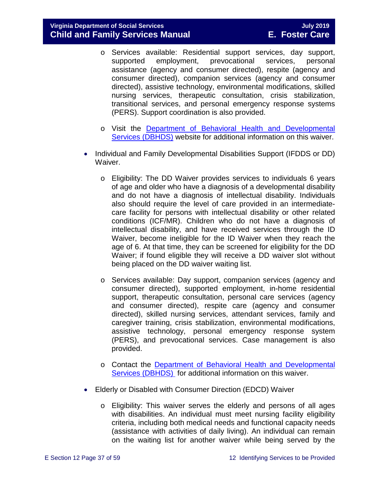- o Services available: Residential support services, day support, prevocational assistance (agency and consumer directed), respite (agency and consumer directed), companion services (agency and consumer directed), assistive technology, environmental modifications, skilled nursing services, therapeutic consultation, crisis stabilization, transitional services, and personal emergency response systems (PERS). Support coordination is also provided.
- o Visit the [Department of Behavioral Health and Developmental](http://www.dbhds.virginia.gov/)  [Services \(DBHDS\)](http://www.dbhds.virginia.gov/) website for additional information on this waiver.
- Individual and Family Developmental Disabilities Support (IFDDS or DD) Waiver.
	- o Eligibility: The DD Waiver provides services to individuals 6 years of age and older who have a diagnosis of a developmental disability and do not have a diagnosis of intellectual disability. Individuals also should require the level of care provided in an intermediatecare facility for persons with intellectual disability or other related conditions (ICF/MR). Children who do not have a diagnosis of intellectual disability, and have received services through the ID Waiver, become ineligible for the ID Waiver when they reach the age of 6. At that time, they can be screened for eligibility for the DD Waiver; if found eligible they will receive a DD waiver slot without being placed on the DD waiver waiting list.
	- o Services available: Day support, companion services (agency and consumer directed), supported employment, in-home residential support, therapeutic consultation, personal care services (agency and consumer directed), respite care (agency and consumer directed), skilled nursing services, attendant services, family and caregiver training, crisis stabilization, environmental modifications, assistive technology, personal emergency response system (PERS), and prevocational services. Case management is also provided.
	- o Contact the Department of Behavioral [Health and Developmental](http://www.dbhds.virginia.gov/)  [Services \(DBHDS\)](http://www.dbhds.virginia.gov/) for additional information on this waiver.
- Elderly or Disabled with Consumer Direction (EDCD) Waiver
	- o Eligibility: This waiver serves the elderly and persons of all ages with disabilities. An individual must meet nursing facility eligibility criteria, including both medical needs and functional capacity needs (assistance with activities of daily living). An individual can remain on the waiting list for another waiver while being served by the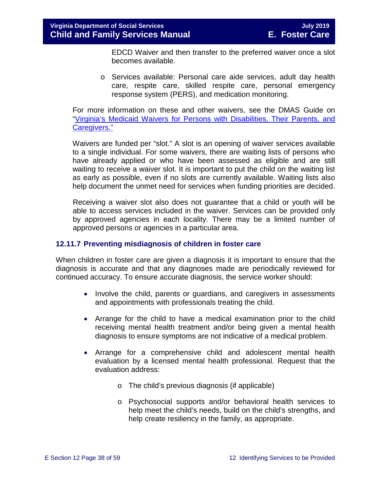EDCD Waiver and then transfer to the preferred waiver once a slot becomes available.

o Services available: Personal care aide services, adult day health care, respite care, skilled respite care, personal emergency response system (PERS), and medication monitoring.

For more information on these and other waivers, see the DMAS Guide on ["Virginia's Medicaid Waivers for Persons with Disabilities, Their Parents, and](http://www.dmas.virginia.gov/Content_pgs/ltc-home.aspx)  [Caregivers."](http://www.dmas.virginia.gov/Content_pgs/ltc-home.aspx)

Waivers are funded per "slot." A slot is an opening of waiver services available to a single individual. For some waivers, there are waiting lists of persons who have already applied or who have been assessed as eligible and are still waiting to receive a waiver slot. It is important to put the child on the waiting list as early as possible, even if no slots are currently available. Waiting lists also help document the unmet need for services when funding priorities are decided.

Receiving a waiver slot also does not guarantee that a child or youth will be able to access services included in the waiver. Services can be provided only by approved agencies in each locality. There may be a limited number of approved persons or agencies in a particular area.

#### <span id="page-37-0"></span>**12.11.7 Preventing misdiagnosis of children in foster care**

When children in foster care are given a diagnosis it is important to ensure that the diagnosis is accurate and that any diagnoses made are periodically reviewed for continued accuracy. To ensure accurate diagnosis, the service worker should:

- Involve the child, parents or guardians, and caregivers in assessments and appointments with professionals treating the child.
- Arrange for the child to have a medical examination prior to the child receiving mental health treatment and/or being given a mental health diagnosis to ensure symptoms are not indicative of a medical problem.
- Arrange for a comprehensive child and adolescent mental health evaluation by a licensed mental health professional. Request that the evaluation address:
	- o The child's previous diagnosis (if applicable)
	- o Psychosocial supports and/or behavioral health services to help meet the child's needs, build on the child's strengths, and help create resiliency in the family, as appropriate.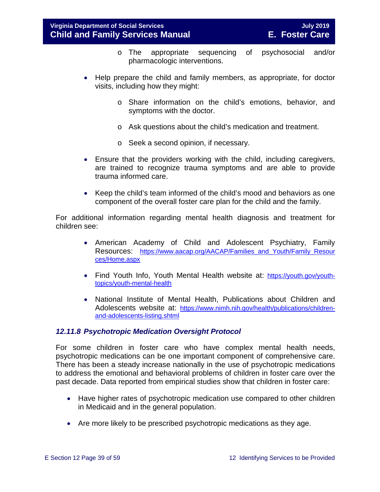- o The appropriate sequencing of psychosocial and/or pharmacologic interventions.
- Help prepare the child and family members, as appropriate, for doctor visits, including how they might:
	- o Share information on the child's emotions, behavior, and symptoms with the doctor.
	- o Ask questions about the child's medication and treatment.
	- o Seek a second opinion, if necessary.
- Ensure that the providers working with the child, including caregivers, are trained to recognize trauma symptoms and are able to provide trauma informed care.
- Keep the child's team informed of the child's mood and behaviors as one component of the overall foster care plan for the child and the family.

For additional information regarding mental health diagnosis and treatment for children see:

- American Academy of Child and Adolescent Psychiatry, Family Resources: [https://www.aacap.org/AACAP/Families\\_and\\_Youth/Family\\_Resour](https://www.aacap.org/AACAP/Families_and_Youth/Family_Resources/Home.aspx) [ces/Home.aspx](https://www.aacap.org/AACAP/Families_and_Youth/Family_Resources/Home.aspx)
- Find Youth Info, Youth Mental Health website at: [https://youth.gov/youth](https://youth.gov/youth-topics/youth-mental-health)[topics/youth-mental-health](https://youth.gov/youth-topics/youth-mental-health)
- National Institute of Mental Health, Publications about Children and Adolescents website at: [https://www.nimh.nih.gov/health/publications/children](https://www.nimh.nih.gov/health/publications/children-and-adolescents-listing.shtml)[and-adolescents-listing.shtml](https://www.nimh.nih.gov/health/publications/children-and-adolescents-listing.shtml)

#### <span id="page-38-0"></span>*12.11.8 Psychotropic Medication Oversight Protocol*

For some children in foster care who have complex mental health needs, psychotropic medications can be one important component of comprehensive care. There has been a steady increase nationally in the use of psychotropic medications to address the emotional and behavioral problems of children in foster care over the past decade. Data reported from empirical studies show that children in foster care:

- Have higher rates of psychotropic medication use compared to other children in Medicaid and in the general population.
- Are more likely to be prescribed psychotropic medications as they age.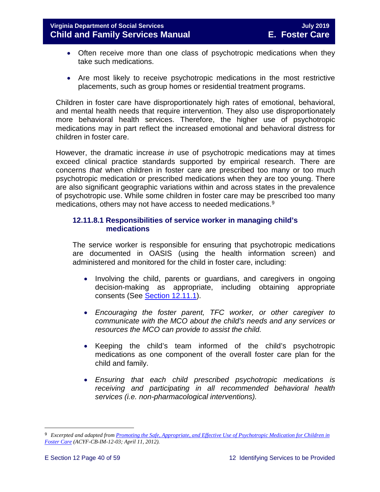- Often receive more than one class of psychotropic medications when they take such medications.
- Are most likely to receive psychotropic medications in the most restrictive placements, such as group homes or residential treatment programs.

Children in foster care have disproportionately high rates of emotional, behavioral, and mental health needs that require intervention. They also use disproportionately more behavioral health services. Therefore, the higher use of psychotropic medications may in part reflect the increased emotional and behavioral distress for children in foster care.

However, the dramatic increase *in* use of psychotropic medications may at times exceed clinical practice standards supported by empirical research. There are concerns *that* when children in foster care are prescribed too many or too much psychotropic medication or prescribed medications when they are too young. There are also significant geographic variations within and across states in the prevalence of psychotropic use. While some children in foster care may be prescribed too many medications, others may not have access to needed medications. [9](#page-39-0)

#### **12.11.8.1 Responsibilities of service worker in managing child's medications**

The service worker is responsible for ensuring that psychotropic medications are documented in OASIS (using the health information screen) and administered and monitored for the child in foster care, including:

- Involving the child, parents or guardians, and caregivers in ongoing decision-making as appropriate, including obtaining appropriate consents (See [Section 12.11.1\)](#page-19-1).
- *Encouraging the foster parent, TFC worker, or other caregiver to communicate with the MCO about the child's needs and any services or resources the MCO can provide to assist the child.*
- Keeping the child's team informed of the child's psychotropic medications as one component of the overall foster care plan for the child and family.
- *Ensuring that each child prescribed psychotropic medications is receiving and participating in all recommended behavioral health services (i.e. non-pharmacological interventions).*

<span id="page-39-0"></span>Ĩ. 9 *Excerpted and adapted from [Promoting the Safe, Appropriate, and Effective Use of Psychotropic Medication for Children in](http://www.acf.hhs.gov/sites/default/files/cb/im1203.pdf)  [Foster Care](http://www.acf.hhs.gov/sites/default/files/cb/im1203.pdf) (ACYF-CB-IM-12-03; April 11, 2012).*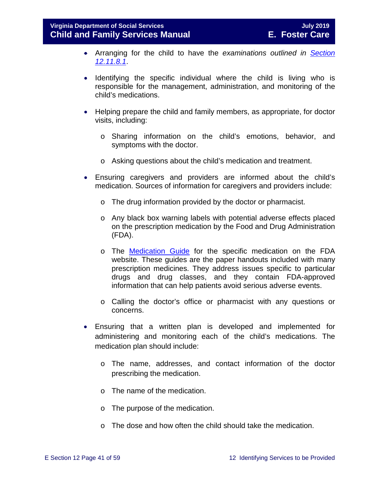- Arranging for the child to have the *examinations outlined in [Section](#page-42-0)  [12.11.8.1](#page-42-0)*.
- Identifying the specific individual where the child is living who is responsible for the management, administration, and monitoring of the child's medications.
- Helping prepare the child and family members, as appropriate, for doctor visits, including:
	- o Sharing information on the child's emotions, behavior, and symptoms with the doctor.
	- o Asking questions about the child's medication and treatment.
- Ensuring caregivers and providers are informed about the child's medication. Sources of information for caregivers and providers include:
	- o The drug information provided by the doctor or pharmacist.
	- o Any black box warning labels with potential adverse effects placed on the prescription medication by the Food and Drug Administration (FDA).
	- o The [Medication Guide](http://www.fda.gov/Drugs/DrugSafety/ucm085729.htm) for the specific medication on the FDA website. These guides are the paper handouts included with many prescription medicines. They address issues specific to particular drugs and drug classes, and they contain FDA-approved information that can help patients avoid serious adverse events.
	- o Calling the doctor's office or pharmacist with any questions or concerns.
- Ensuring that a written plan is developed and implemented for administering and monitoring each of the child's medications. The medication plan should include:
	- o The name, addresses, and contact information of the doctor prescribing the medication.
	- o The name of the medication.
	- o The purpose of the medication.
	- o The dose and how often the child should take the medication.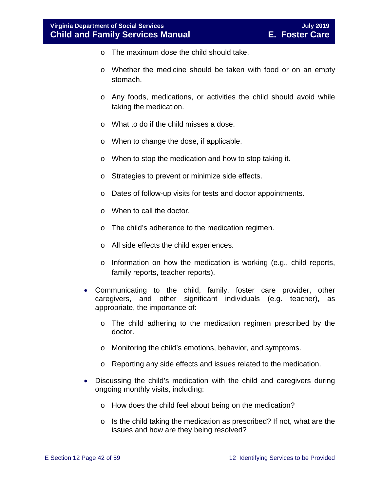- $\circ$  The maximum dose the child should take.
- o Whether the medicine should be taken with food or on an empty stomach.
- o Any foods, medications, or activities the child should avoid while taking the medication.
- o What to do if the child misses a dose.
- o When to change the dose, if applicable.
- o When to stop the medication and how to stop taking it.
- o Strategies to prevent or minimize side effects.
- o Dates of follow-up visits for tests and doctor appointments.
- o When to call the doctor.
- o The child's adherence to the medication regimen.
- o All side effects the child experiences.
- o Information on how the medication is working (e.g., child reports, family reports, teacher reports).
- Communicating to the child, family, foster care provider, other caregivers, and other significant individuals (e.g. teacher), as appropriate, the importance of:
	- o The child adhering to the medication regimen prescribed by the doctor.
	- o Monitoring the child's emotions, behavior, and symptoms.
	- o Reporting any side effects and issues related to the medication.
- Discussing the child's medication with the child and caregivers during ongoing monthly visits, including:
	- o How does the child feel about being on the medication?
	- $\circ$  Is the child taking the medication as prescribed? If not, what are the issues and how are they being resolved?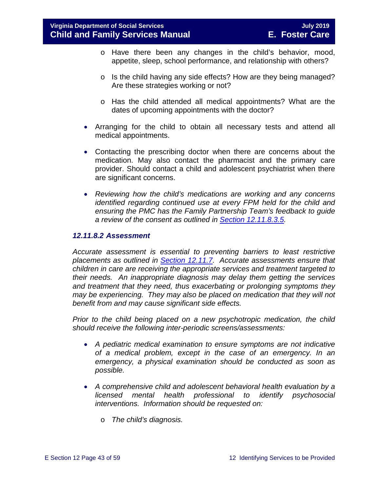- o Have there been any changes in the child's behavior, mood, appetite, sleep, school performance, and relationship with others?
- o Is the child having any side effects? How are they being managed? Are these strategies working or not?
- o Has the child attended all medical appointments? What are the dates of upcoming appointments with the doctor?
- Arranging for the child to obtain all necessary tests and attend all medical appointments.
- Contacting the prescribing doctor when there are concerns about the medication. May also contact the pharmacist and the primary care provider. Should contact a child and adolescent psychiatrist when there are significant concerns.
- *Reviewing how the child's medications are working and any concerns identified regarding continued use at every FPM held for the child and ensuring the PMC has the Family Partnership Team's feedback to guide a review of the consent as outlined in [Section 12.11.8.3.5.](#page-48-0)*

#### <span id="page-42-0"></span>*12.11.8.2 Assessment*

*Accurate assessment is essential to preventing barriers to least restrictive placements as outlined in [Section 12.11.7.](#page-37-0) Accurate assessments ensure that children in care are receiving the appropriate services and treatment targeted to their needs. An inappropriate diagnosis may delay them getting the services and treatment that they need, thus exacerbating or prolonging symptoms they may be experiencing. They may also be placed on medication that they will not benefit from and may cause significant side effects.* 

*Prior to the child being placed on a new psychotropic medication, the child should receive the following inter-periodic screens/assessments:* 

- *A pediatric medical examination to ensure symptoms are not indicative of a medical problem, except in the case of an emergency. In an emergency, a physical examination should be conducted as soon as possible.*
- *A comprehensive child and adolescent behavioral health evaluation by a licensed mental health professional to identify psychosocial interventions. Information should be requested on:*
	- o *The child's diagnosis.*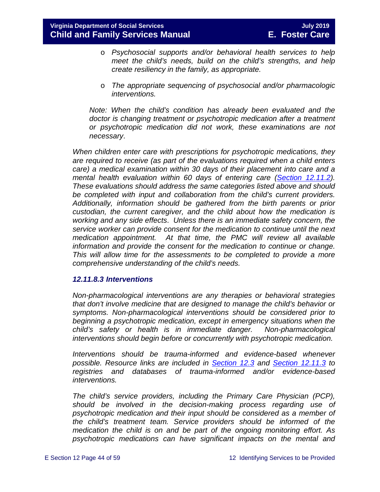- o *Psychosocial supports and/or behavioral health services to help meet the child's needs, build on the child's strengths, and help create resiliency in the family, as appropriate.*
- o *The appropriate sequencing of psychosocial and/or pharmacologic interventions.*

*Note: When the child's condition has already been evaluated and the doctor is changing treatment or psychotropic medication after a treatment or psychotropic medication did not work, these examinations are not necessary*.

*When children enter care with prescriptions for psychotropic medications, they are required to receive (as part of the evaluations required when a child enters care) a medical examination within 30 days of their placement into care and a mental health evaluation within 60 days of entering care [\(Section 12.11.2\)](#page-21-0). These evaluations should address the same categories listed above and should be completed with input and collaboration from the child's current providers. Additionally, information should be gathered from the birth parents or prior custodian, the current caregiver, and the child about how the medication is working and any side effects*. *Unless there is an immediate safety concern, the service worker can provide consent for the medication to continue until the next medication appointment. At that time, the PMC will review all available information and provide the consent for the medication to continue or change. This will allow time for the assessments to be completed to provide a more comprehensive understanding of the child's needs.*

#### *12.11.8.3 Interventions*

*Non-pharmacological interventions are any therapies or behavioral strategies that don't involve medicine that are designed to manage the child's behavior or symptoms. Non-pharmacological interventions should be considered prior to beginning a psychotropic medication, except in emergency situations when the child's safety or health is in immediate danger. Non-pharmacological interventions should begin before or concurrently with psychotropic medication.* 

*Interventions should be trauma-informed and evidence-based whenever possible. Resource links are included in [Section 12.3](#page-6-2) and [Section 12.11.3](#page-24-3) to registries and databases of trauma-informed and/or evidence-based interventions.*

*The child's service providers, including the Primary Care Physician (PCP), should be involved in the decision-making process regarding use of psychotropic medication and their input should be considered as a member of the child's treatment team. Service providers should be informed of the medication the child is on and be part of the ongoing monitoring effort. As psychotropic medications can have significant impacts on the mental and*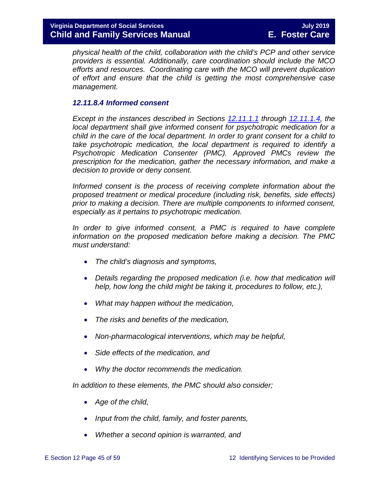*physical health of the child, collaboration with the child's PCP and other service providers is essential. Additionally, care coordination should include the MCO efforts and resources. Coordinating care with the MCO will prevent duplication of effort and ensure that the child is getting the most comprehensive case management.*

#### *12.11.8.4 Informed consent*

*Except in the instances described in Sections [12.11.1.1](#page-20-0) through [12.11.1.4,](#page-20-1) the local department shall give informed consent for psychotropic medication for a child in the care of the local department. In order to grant consent for a child to take psychotropic medication, the local department is required to identify a Psychotropic Medication Consenter (PMC). Approved PMCs review the prescription for the medication, gather the necessary information, and make a decision to provide or deny consent.* 

*Informed consent is the process of receiving complete information about the proposed treatment or medical procedure (including risk, benefits, side effects) prior to making a decision. There are multiple components to informed consent, especially as it pertains to psychotropic medication.* 

In order to give informed consent, a PMC is required to have complete *information on the proposed medication before making a decision. The PMC must understand:*

- *The child's diagnosis and symptoms,*
- *Details regarding the proposed medication (i.e. how that medication will help, how long the child might be taking it, procedures to follow, etc.),*
- *What may happen without the medication,*
- *The risks and benefits of the medication,*
- *Non-pharmacological interventions, which may be helpful,*
- *Side effects of the medication, and*
- *Why the doctor recommends the medication.*

*In addition to these elements, the PMC should also consider;*

- *Age of the child,*
- *Input from the child, family, and foster parents,*
- *Whether a second opinion is warranted, and*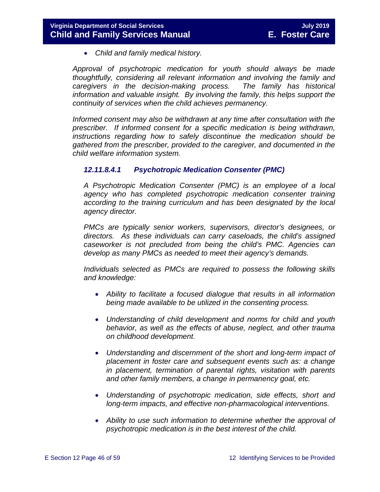• *Child and family medical history.*

*Approval of psychotropic medication for youth should always be made thoughtfully, considering all relevant information and involving the family and caregivers in the decision-making process. The family has historical information and valuable insight. By involving the family, this helps support the continuity of services when the child achieves permanency.*

*Informed consent may also be withdrawn at any time after consultation with the prescriber. If informed consent for a specific medication is being withdrawn, instructions regarding how to safely discontinue the medication should be gathered from the prescriber, provided to the caregiver, and documented in the child welfare information system.* 

#### <span id="page-45-0"></span>*12.11.8.4.1 Psychotropic Medication Consenter (PMC)*

*A Psychotropic Medication Consenter (PMC) is an employee of a local agency who has completed psychotropic medication consenter training according to the training curriculum and has been designated by the local agency director.*

*PMCs are typically senior workers, supervisors, director's designees, or directors. As these individuals can carry caseloads, the child's assigned caseworker is not precluded from being the child's PMC. Agencies can develop as many PMCs as needed to meet their agency's demands.*

*Individuals selected as PMCs are required to possess the following skills and knowledge:*

- *Ability to facilitate a focused dialogue that results in all information being made available to be utilized in the consenting process.*
- *Understanding of child development and norms for child and youth behavior, as well as the effects of abuse, neglect, and other trauma on childhood development.*
- *Understanding and discernment of the short and long-term impact of placement in foster care and subsequent events such as: a change in placement, termination of parental rights, visitation with parents and other family members, a change in permanency goal, etc.*
- *Understanding of psychotropic medication, side effects, short and long-term impacts, and effective non-pharmacological interventions.*
- *Ability to use such information to determine whether the approval of psychotropic medication is in the best interest of the child.*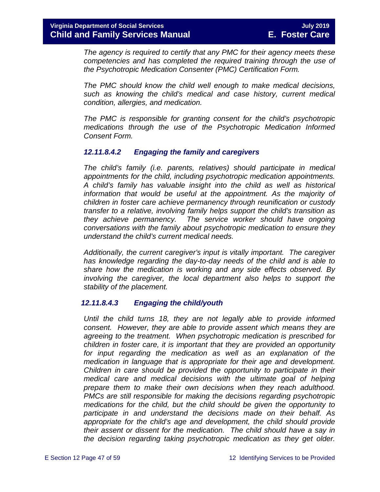*The agency is required to certify that any PMC for their agency meets these competencies and has completed the required training through the use of the Psychotropic Medication Consenter (PMC) Certification Form.*

*The PMC should know the child well enough to make medical decisions, such as knowing the child's medical and case history, current medical condition, allergies, and medication.* 

*The PMC is responsible for granting consent for the child's psychotropic medications through the use of the Psychotropic Medication Informed Consent Form.* 

#### *12.11.8.4.2 Engaging the family and caregivers*

*The child's family (i.e. parents, relatives) should participate in medical appointments for the child, including psychotropic medication appointments. A child's family has valuable insight into the child as well as historical information that would be useful at the appointment. As the majority of children in foster care achieve permanency through reunification or custody transfer to a relative, involving family helps support the child's transition as they achieve permanency. The service worker should have ongoing conversations with the family about psychotropic medication to ensure they understand the child's current medical needs.*

*Additionally, the current caregiver's input is vitally important. The caregiver has knowledge regarding the day-to-day needs of the child and is able to share how the medication is working and any side effects observed. By involving the caregiver, the local department also helps to support the stability of the placement.* 

#### *12.11.8.4.3 Engaging the child/youth*

*Until the child turns 18, they are not legally able to provide informed consent. However, they are able to provide assent which means they are agreeing to the treatment. When psychotropic medication is prescribed for children in foster care, it is important that they are provided an opportunity for input regarding the medication as well as an explanation of the medication in language that is appropriate for their age and development. Children in care should be provided the opportunity to participate in their medical care and medical decisions with the ultimate goal of helping prepare them to make their own decisions when they reach adulthood. PMCs are still responsible for making the decisions regarding psychotropic medications for the child, but the child should be given the opportunity to participate in and understand the decisions made on their behalf. As appropriate for the child's age and development, the child should provide their assent or dissent for the medication. The child should have a say in the decision regarding taking psychotropic medication as they get older.*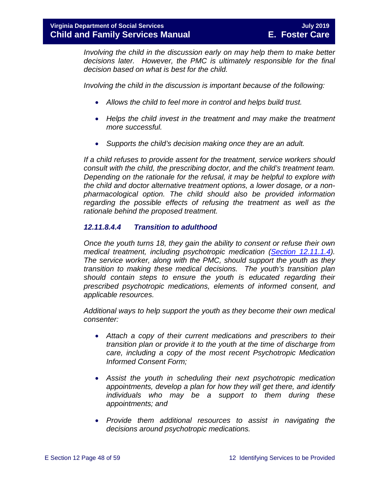*Involving the child in the discussion early on may help them to make better decisions later. However, the PMC is ultimately responsible for the final decision based on what is best for the child.* 

*Involving the child in the discussion is important because of the following:*

- *Allows the child to feel more in control and helps build trust.*
- *Helps the child invest in the treatment and may make the treatment more successful.*
- *Supports the child's decision making once they are an adult.*

*If a child refuses to provide assent for the treatment, service workers should consult with the child, the prescribing doctor, and the child's treatment team. Depending on the rationale for the refusal, it may be helpful to explore with the child and doctor alternative treatment options, a lower dosage, or a nonpharmacological option. The child should also be provided information regarding the possible effects of refusing the treatment as well as the rationale behind the proposed treatment.* 

#### *12.11.8.4.4 Transition to adulthood*

*Once the youth turns 18, they gain the ability to consent or refuse their own medical treatment, including psychotropic medication [\(Section 12.11.1.4\)](#page-20-1). The service worker, along with the PMC, should support the youth as they transition to making these medical decisions. The youth's transition plan should contain steps to ensure the youth is educated regarding their prescribed psychotropic medications, elements of informed consent, and applicable resources.* 

*Additional ways to help support the youth as they become their own medical consenter:*

- *Attach a copy of their current medications and prescribers to their transition plan or provide it to the youth at the time of discharge from care, including a copy of the most recent Psychotropic Medication Informed Consent Form;*
- *Assist the youth in scheduling their next psychotropic medication appointments, develop a plan for how they will get there, and identify individuals who may be a support to them during these appointments; and*
- *Provide them additional resources to assist in navigating the decisions around psychotropic medications.*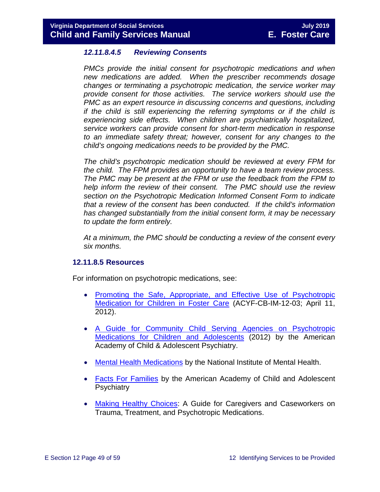#### <span id="page-48-0"></span>*12.11.8.4.5 Reviewing Consents*

*PMCs provide the initial consent for psychotropic medications and when new medications are added. When the prescriber recommends dosage changes or terminating a psychotropic medication, the service worker may provide consent for those activities. The service workers should use the PMC as an expert resource in discussing concerns and questions, including if the child is still experiencing the referring symptoms or if the child is experiencing side effects. When children are psychiatrically hospitalized, service workers can provide consent for short-term medication in response to an immediate safety threat; however, consent for any changes to the child's ongoing medications needs to be provided by the PMC.*

*The child's psychotropic medication should be reviewed at every FPM for the child. The FPM provides an opportunity to have a team review process. The PMC may be present at the FPM or use the feedback from the FPM to help inform the review of their consent. The PMC should use the review section on the Psychotropic Medication Informed Consent Form to indicate that a review of the consent has been conducted. If the child's information has changed substantially from the initial consent form, it may be necessary to update the form entirely.*

*At a minimum, the PMC should be conducting a review of the consent every six months.* 

#### **12.11.8.5 Resources**

For information on psychotropic medications, see:

- [Promoting the Safe, Appropriate, and Effective Use of Psychotropic](http://www.acf.hhs.gov/sites/default/files/cb/im1203.pdf)  [Medication for Children in Foster Care](http://www.acf.hhs.gov/sites/default/files/cb/im1203.pdf) (ACYF-CB-IM-12-03; April 11, 2012).
- [A Guide for Community Child Serving Agencies on Psychotropic](http://www.aacap.org/App_Themes/AACAP/docs/press/guide_for_community_child_serving_agencies_on_psychotropic_medications_for_children_and_adolescents_2012.pdf)  [Medications for Children and Adolescents](http://www.aacap.org/App_Themes/AACAP/docs/press/guide_for_community_child_serving_agencies_on_psychotropic_medications_for_children_and_adolescents_2012.pdf) (2012) by the American Academy of Child & Adolescent Psychiatry.
- [Mental Health Medications](http://www.nimh.nih.gov/health/publications/mental-health-medications/nimh-mental-health-medications.pdf) by the National Institute of Mental Health.
- [Facts For Families](https://www.aacap.org/AACAP/Families_and_Youth/Facts_for_Families/Facts_for_families_Pages/Psychiatric_Medication_For_Children_And_Adolescents_Part_I_How_Medications_Are_Used_21.aspx) by the American Academy of Child and Adolescent **Psychiatry**
- [Making Healthy Choices:](https://www.childwelfare.gov/pubs/mhc-caregivers/) A Guide for Caregivers and Caseworkers on Trauma, Treatment, and Psychotropic Medications.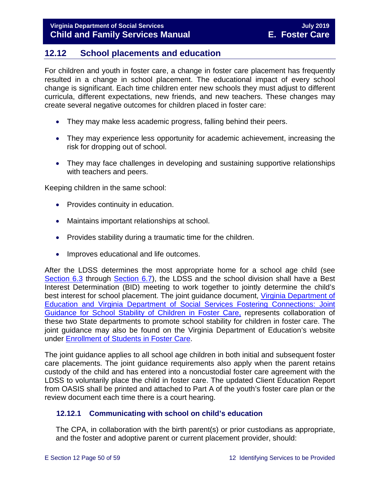# <span id="page-49-2"></span><span id="page-49-0"></span>**12.12 School placements and education**

For children and youth in foster care, a change in foster care placement has frequently resulted in a change in school placement. The educational impact of every school change is significant. Each time children enter new schools they must adjust to different curricula, different expectations, new friends, and new teachers. These changes may create several negative outcomes for children placed in foster care:

- They may make less academic progress, falling behind their peers.
- They may experience less opportunity for academic achievement, increasing the risk for dropping out of school.
- They may face challenges in developing and sustaining supportive relationships with teachers and peers.

Keeping children in the same school:

- Provides continuity in education.
- Maintains important relationships at school.
- Provides stability during a traumatic time for the children.
- Improves educational and life outcomes.

After the LDSS determines the most appropriate home for a school age child (see [Section 6.3](https://fusion.dss.virginia.gov/Portals/%5bdfs%5d/Files/DFS%20Manuals/Foster%20Care%20Manuals/Foster%20Care%20Manual%2007-2019/section_6_placement_to_achieve_permanency.pdf#page=10) through [Section 6.7\)](https://fusion.dss.virginia.gov/Portals/%5bdfs%5d/Files/DFS%20Manuals/Foster%20Care%20Manuals/Foster%20Care%20Manual%2007-2019/section_6_placement_to_achieve_permanency.pdf#page=17), the LDSS and the school division shall have a Best Interest Determination (BID) meeting to work together to jointly determine the child's best interest for school placement. The joint guidance document, [Virginia Department of](http://www.dss.virginia.gov/family/fc/index.cgi)  [Education and Virginia Department of Social Services Fostering Connections: Joint](http://www.dss.virginia.gov/family/fc/index.cgi)  [Guidance for School Stability of Children in Foster Care,](http://www.dss.virginia.gov/family/fc/index.cgi) represents collaboration of these two State departments to promote school stability for children in foster care. The joint guidance may also be found on the Virginia Department of Education's website under [Enrollment of Students in Foster Care.](http://www.doe.virginia.gov/support/student_family/foster_care_students/index.shtml)

The joint guidance applies to all school age children in both initial and subsequent foster care placements. The joint guidance requirements also apply when the parent retains custody of the child and has entered into a noncustodial foster care agreement with the LDSS to voluntarily place the child in foster care. The updated Client Education Report from OASIS shall be printed and attached to Part A of the youth's foster care plan or the review document each time there is a court hearing.

### <span id="page-49-1"></span>**12.12.1 Communicating with school on child's education**

The CPA, in collaboration with the birth parent(s) or prior custodians as appropriate, and the foster and adoptive parent or current placement provider, should: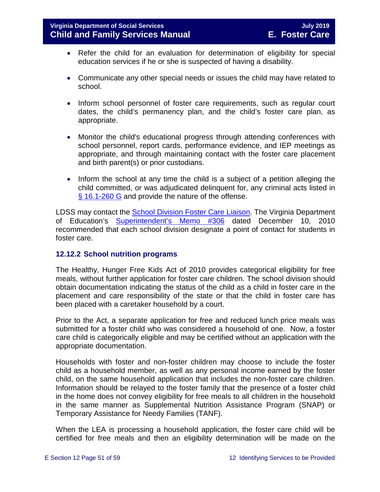- Refer the child for an evaluation for determination of eligibility for special education services if he or she is suspected of having a disability.
- Communicate any other special needs or issues the child may have related to school.
- Inform school personnel of foster care requirements, such as regular court dates, the child's permanency plan, and the child's foster care plan, as appropriate.
- Monitor the child's educational progress through attending conferences with school personnel, report cards, performance evidence, and IEP meetings as appropriate, and through maintaining contact with the foster care placement and birth parent(s) or prior custodians.
- Inform the school at any time the child is a subject of a petition alleging the child committed, or was adjudicated delinquent for, any criminal acts listed in [§ 16.1-260 G](http://law.lis.virginia.gov/vacode/16.1-260/) and provide the nature of the offense.

LDSS may contact the [School Division Foster Care Liaison.](http://www.doe.virginia.gov/support/student_family/foster_care_students/dss-lea-fostercare-liaison-list.xlsx) The Virginia Department of Education's [Superintendent's Memo #306](http://www.doe.virginia.gov/administrators/superintendents_memos/2010/306-10.shtml) dated December 10, 2010 recommended that each school division designate a point of contact for students in foster care.

#### <span id="page-50-0"></span>**12.12.2 School nutrition programs**

The Healthy, Hunger Free Kids Act of 2010 provides categorical eligibility for free meals, without further application for foster care children. The school division should obtain documentation indicating the status of the child as a child in foster care in the placement and care responsibility of the state or that the child in foster care has been placed with a caretaker household by a court.

Prior to the Act, a separate application for free and reduced lunch price meals was submitted for a foster child who was considered a household of one. Now, a foster care child is categorically eligible and may be certified without an application with the appropriate documentation.

Households with foster and non-foster children may choose to include the foster child as a household member, as well as any personal income earned by the foster child, on the same household application that includes the non-foster care children. Information should be relayed to the foster family that the presence of a foster child in the home does not convey eligibility for free meals to all children in the household in the same manner as Supplemental Nutrition Assistance Program (SNAP) or Temporary Assistance for Needy Families (TANF).

When the LEA is processing a household application, the foster care child will be certified for free meals and then an eligibility determination will be made on the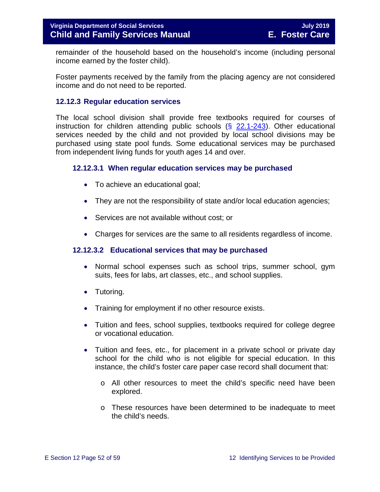remainder of the household based on the household's income (including personal income earned by the foster child).

Foster payments received by the family from the placing agency are not considered income and do not need to be reported.

#### <span id="page-51-0"></span>**12.12.3 Regular education services**

The local school division shall provide free textbooks required for courses of instruction for children attending public schools  $(\S$  [22.1-243\)](http://law.lis.virginia.gov/vacode/22.1-243/). Other educational services needed by the child and not provided by local school divisions may be purchased using state pool funds. Some educational services may be purchased from independent living funds for youth ages 14 and over.

#### **12.12.3.1 When regular education services may be purchased**

- To achieve an educational goal;
- They are not the responsibility of state and/or local education agencies;
- Services are not available without cost; or
- Charges for services are the same to all residents regardless of income.

#### **12.12.3.2 Educational services that may be purchased**

- Normal school expenses such as school trips, summer school, gym suits, fees for labs, art classes, etc., and school supplies.
- Tutoring.
- Training for employment if no other resource exists.
- Tuition and fees, school supplies, textbooks required for college degree or vocational education.
- Tuition and fees, etc., for placement in a private school or private day school for the child who is not eligible for special education. In this instance, the child's foster care paper case record shall document that:
	- o All other resources to meet the child's specific need have been explored.
	- o These resources have been determined to be inadequate to meet the child's needs.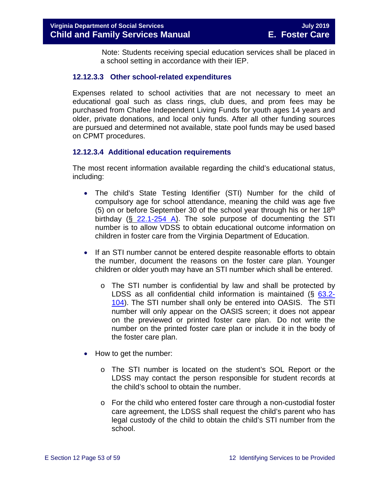Note: Students receiving special education services shall be placed in a school setting in accordance with their IEP.

#### **12.12.3.3 Other school-related expenditures**

Expenses related to school activities that are not necessary to meet an educational goal such as class rings, club dues, and prom fees may be purchased from Chafee Independent Living Funds for youth ages 14 years and older, private donations, and local only funds. After all other funding sources are pursued and determined not available, state pool funds may be used based on CPMT procedures.

#### **12.12.3.4 Additional education requirements**

The most recent information available regarding the child's educational status, including:

- The child's State Testing Identifier (STI) Number for the child of compulsory age for school attendance, meaning the child was age five (5) on or before September 30 of the school year through his or her  $18<sup>th</sup>$ birthday (§ [22.1-254 A\)](http://law.lis.virginia.gov/vacode/22.1-254/). The sole purpose of documenting the STI number is to allow VDSS to obtain educational outcome information on children in foster care from the Virginia Department of Education.
- If an STI number cannot be entered despite reasonable efforts to obtain the number, document the reasons on the foster care plan. Younger children or older youth may have an STI number which shall be entered.
	- o The STI number is confidential by law and shall be protected by LDSS as all confidential child information is maintained (§ [63.2-](http://law.lis.virginia.gov/vacode/63.2-104/) [104\)](http://law.lis.virginia.gov/vacode/63.2-104/). The STI number shall only be entered into OASIS. The STI number will only appear on the OASIS screen; it does not appear on the previewed or printed foster care plan. Do not write the number on the printed foster care plan or include it in the body of the foster care plan.
- How to get the number:
	- o The STI number is located on the student's SOL Report or the LDSS may contact the person responsible for student records at the child's school to obtain the number.
	- o For the child who entered foster care through a non-custodial foster care agreement, the LDSS shall request the child's parent who has legal custody of the child to obtain the child's STI number from the school.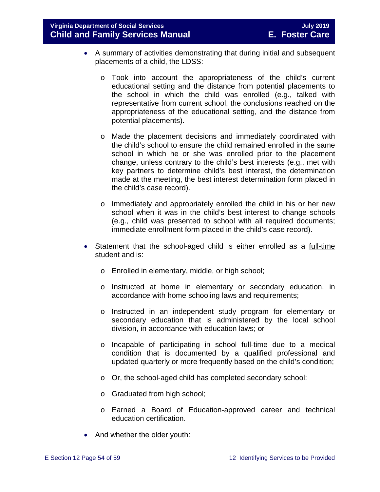**Virginia Department of Social Services July 2019 Child and Family Services Manual** 

- A summary of activities demonstrating that during initial and subsequent placements of a child, the LDSS:
	- o Took into account the appropriateness of the child's current educational setting and the distance from potential placements to the school in which the child was enrolled (e.g., talked with representative from current school, the conclusions reached on the appropriateness of the educational setting, and the distance from potential placements).
	- o Made the placement decisions and immediately coordinated with the child's school to ensure the child remained enrolled in the same school in which he or she was enrolled prior to the placement change, unless contrary to the child's best interests (e.g., met with key partners to determine child's best interest, the determination made at the meeting, the best interest determination form placed in the child's case record).
	- o Immediately and appropriately enrolled the child in his or her new school when it was in the child's best interest to change schools (e.g., child was presented to school with all required documents; immediate enrollment form placed in the child's case record).
- Statement that the school-aged child is either enrolled as a full-time student and is:
	- o Enrolled in elementary, middle, or high school;
	- o Instructed at home in elementary or secondary education, in accordance with home schooling laws and requirements;
	- o Instructed in an independent study program for elementary or secondary education that is administered by the local school division, in accordance with education laws; or
	- o Incapable of participating in school full-time due to a medical condition that is documented by a qualified professional and updated quarterly or more frequently based on the child's condition;
	- o Or, the school-aged child has completed secondary school:
	- o Graduated from high school;
	- o Earned a Board of Education-approved career and technical education certification.
- And whether the older youth: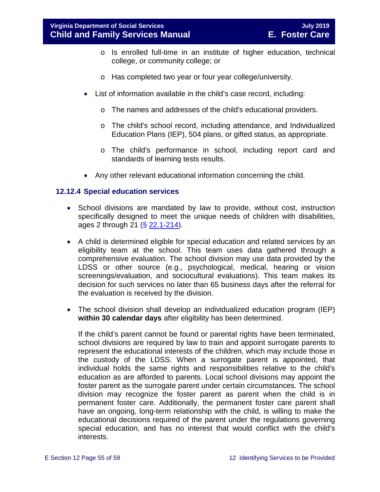- o Is enrolled full-time in an institute of higher education, technical college, or community college; or
- o Has completed two year or four year college/university.
- List of information available in the child's case record, including:
	- o The names and addresses of the child's educational providers.
	- o The child's school record, including attendance, and Individualized Education Plans (IEP), 504 plans, or gifted status, as appropriate.
	- o The child's performance in school, including report card and standards of learning tests results.
- Any other relevant educational information concerning the child.

#### <span id="page-54-0"></span>**12.12.4 Special education services**

- School divisions are mandated by law to provide, without cost, instruction specifically designed to meet the unique needs of children with disabilities, ages 2 through 21 (§ [22.1-214\)](http://law.lis.virginia.gov/vacode/22.1-214/).
- A child is determined eligible for special education and related services by an eligibility team at the school. This team uses data gathered through a comprehensive evaluation. The school division may use data provided by the LDSS or other source (e.g., psychological, medical, hearing or vision screenings/evaluation, and sociocultural evaluations). This team makes its decision for such services no later than 65 business days after the referral for the evaluation is received by the division.
- The school division shall develop an individualized education program (IEP) **within 30 calendar days** after eligibility has been determined.

If the child's parent cannot be found or parental rights have been terminated, school divisions are required by law to train and appoint surrogate parents to represent the educational interests of the children, which may include those in the custody of the LDSS. When a surrogate parent is appointed, that individual holds the same rights and responsibilities relative to the child's education as are afforded to parents. Local school divisions may appoint the foster parent as the surrogate parent under certain circumstances. The school division may recognize the foster parent as parent when the child is in permanent foster care. Additionally, the permanent foster care parent shall have an ongoing, long-term relationship with the child, is willing to make the educational decisions required of the parent under the regulations governing special education, and has no interest that would conflict with the child's interests.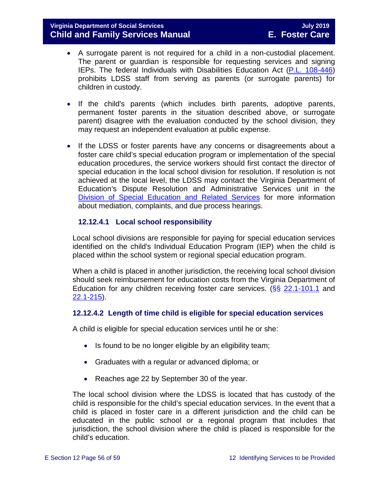- A surrogate parent is not required for a child in a non-custodial placement. The parent or guardian is responsible for requesting services and signing IEPs. The federal Individuals with Disabilities Education Act [\(P.L. 108-446\)](https://www.gpo.gov/fdsys/pkg/PLAW-108publ446) prohibits LDSS staff from serving as parents (or surrogate parents) for children in custody.
- If the child's parents (which includes birth parents, adoptive parents, permanent foster parents in the situation described above, or surrogate parent) disagree with the evaluation conducted by the school division, they may request an independent evaluation at public expense.
- If the LDSS or foster parents have any concerns or disagreements about a foster care child's special education program or implementation of the special education procedures, the service workers should first contact the director of special education in the local school division for resolution. If resolution is not achieved at the local level, the LDSS may contact the Virginia Department of Education's Dispute Resolution and Administrative Services unit in the [Division of Special Education and Related Services](http://www.doe.virginia.gov/special_ed/resolving_disputes/) for more information about mediation, complaints, and due process hearings.

#### **12.12.4.1 Local school responsibility**

Local school divisions are responsible for paying for special education services identified on the child's Individual Education Program (IEP) when the child is placed within the school system or regional special education program.

When a child is placed in another jurisdiction, the receiving local school division should seek reimbursement for education costs from the Virginia Department of Education for any children receiving foster care services. ( $\S$ § [22.1-101.1](http://law.lis.virginia.gov/vacode/22.1-101.1/) and [22.1-215\)](http://law.lis.virginia.gov/vacode/22.1-215/).

#### **12.12.4.2 Length of time child is eligible for special education services**

A child is eligible for special education services until he or she:

- Is found to be no longer eligible by an eligibility team;
- Graduates with a regular or advanced diploma; or
- Reaches age 22 by September 30 of the year.

The local school division where the LDSS is located that has custody of the child is responsible for the child's special education services. In the event that a child is placed in foster care in a different jurisdiction and the child can be educated in the public school or a regional program that includes that jurisdiction, the school division where the child is placed is responsible for the child's education.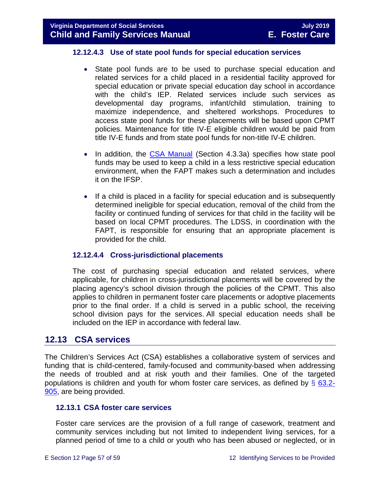#### **12.12.4.3 Use of state pool funds for special education services**

- State pool funds are to be used to purchase special education and related services for a child placed in a residential facility approved for special education or private special education day school in accordance with the child's IEP. Related services include such services as developmental day programs, infant/child stimulation, training to maximize independence, and sheltered workshops. Procedures to access state pool funds for these placements will be based upon CPMT policies. Maintenance for title IV-E eligible children would be paid from title IV-E funds and from state pool funds for non-title IV-E children.
- In addition, the [CSA Manual](http://www.csa.state.va.us/html/manual_pubs/csa_manual_publications.cfm) (Section 4.3.3a) specifies how state pool funds may be used to keep a child in a less restrictive special education environment, when the FAPT makes such a determination and includes it on the IFSP.
- If a child is placed in a facility for special education and is subsequently determined ineligible for special education, removal of the child from the facility or continued funding of services for that child in the facility will be based on local CPMT procedures. The LDSS, in coordination with the FAPT, is responsible for ensuring that an appropriate placement is provided for the child.

#### **12.12.4.4 Cross-jurisdictional placements**

The cost of purchasing special education and related services, where applicable, for children in cross-jurisdictional placements will be covered by the placing agency's school division through the policies of the CPMT. This also applies to children in permanent foster care placements or adoptive placements prior to the final order. If a child is served in a public school, the receiving school division pays for the services. All special education needs shall be included on the IEP in accordance with federal law.

### <span id="page-56-0"></span>**12.13 CSA services**

The Children's Services Act (CSA) establishes a collaborative system of services and funding that is child-centered, family-focused and community-based when addressing the needs of troubled and at risk youth and their families. One of the targeted populations is children and youth for whom foster care services, as defined by  $\S$  [63.2-](http://law.lis.virginia.gov/vacode/63.2-905/) [905,](http://law.lis.virginia.gov/vacode/63.2-905/) are being provided.

#### <span id="page-56-1"></span>**12.13.1 CSA foster care services**

Foster care services are the provision of a full range of casework, treatment and community services including but not limited to independent living services, for a planned period of time to a child or youth who has been abused or neglected, or in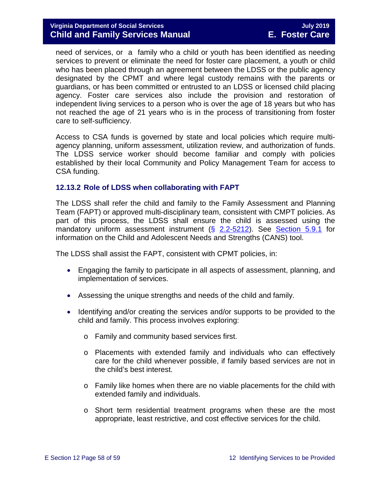#### **Virginia Department of Social Services July 2019 Child and Family Services Manual**

need of services, or a family who a child or youth has been identified as needing services to prevent or eliminate the need for foster care placement, a youth or child who has been placed through an agreement between the LDSS or the public agency designated by the CPMT and where legal custody remains with the parents or guardians, or has been committed or entrusted to an LDSS or licensed child placing agency. Foster care services also include the provision and restoration of independent living services to a person who is over the age of 18 years but who has not reached the age of 21 years who is in the process of transitioning from foster care to self-sufficiency.

Access to CSA funds is governed by state and local policies which require multiagency planning, uniform assessment, utilization review, and authorization of funds. The LDSS service worker should become familiar and comply with policies established by their local Community and Policy Management Team for access to CSA funding.

#### <span id="page-57-0"></span>**12.13.2 Role of LDSS when collaborating with FAPT**

The LDSS shall refer the child and family to the Family Assessment and Planning Team (FAPT) or approved multi-disciplinary team, consistent with CMPT policies. As part of this process, the LDSS shall ensure the child is assessed using the mandatory uniform assessment instrument (§ [2.2-5212\)](http://law.lis.virginia.gov/vacode/2.2-5212/). See [Section 5.9.1](https://fusion.dss.virginia.gov/Portals/%5bdfs%5d/Files/DFS%20Manuals/Foster%20Care%20Manuals/Foster%20Care%20Manual%2007-2019/section_5_conducting_child_and_family_assessment.pdf#page=18) for information on the Child and Adolescent Needs and Strengths (CANS) tool.

The LDSS shall assist the FAPT, consistent with CPMT policies, in:

- Engaging the family to participate in all aspects of assessment, planning, and implementation of services.
- Assessing the unique strengths and needs of the child and family.
- Identifying and/or creating the services and/or supports to be provided to the child and family. This process involves exploring:
	- o Family and community based services first.
	- o Placements with extended family and individuals who can effectively care for the child whenever possible, if family based services are not in the child's best interest.
	- o Family like homes when there are no viable placements for the child with extended family and individuals.
	- o Short term residential treatment programs when these are the most appropriate, least restrictive, and cost effective services for the child.